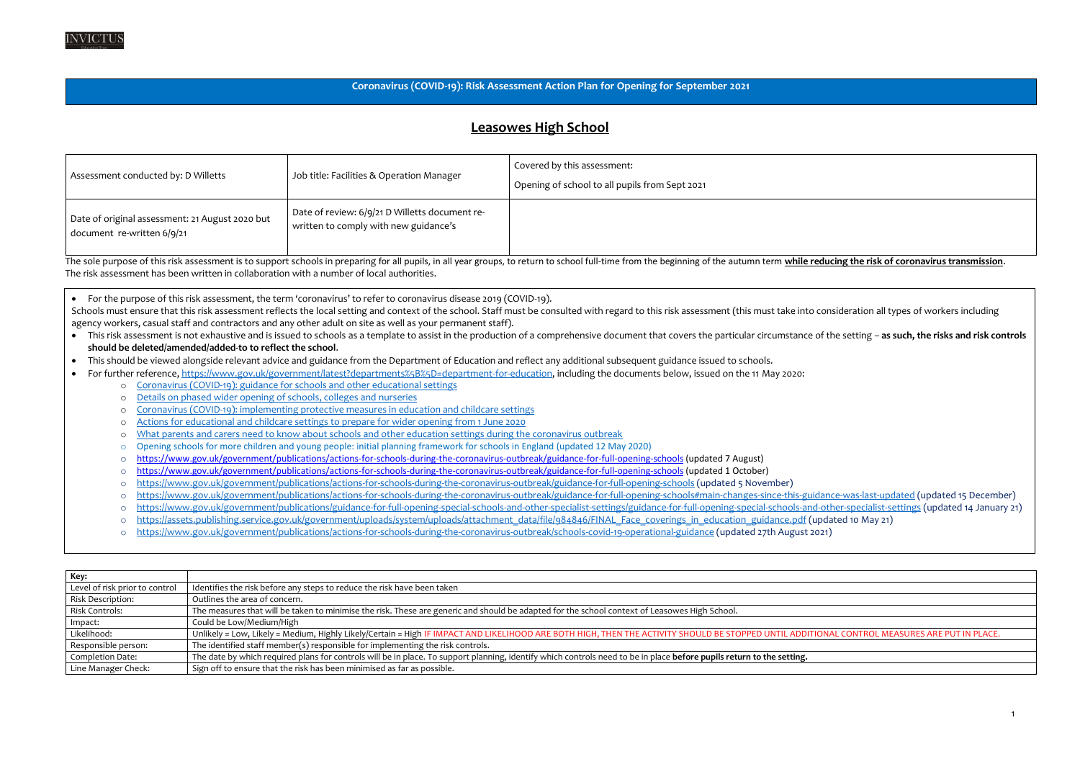#### **Coronavirus (COVID-19): Risk Assessment Action Plan for Opening for September 2021**

#### **Leasowes High School**

| Assessment conducted by: D Willetts                                           | Job title: Facilities & Operation Manager                                               | Covered by this assessment:<br>Opening of school to all pupils from Sept 2021 |
|-------------------------------------------------------------------------------|-----------------------------------------------------------------------------------------|-------------------------------------------------------------------------------|
| Date of original assessment: 21 August 2020 but<br>document re-written 6/9/21 | Date of review: 6/9/21 D Willetts document re-<br>written to comply with new guidance's |                                                                               |

The sole purpose of this risk assessment is to support schools in preparing for all pupils, in all year groups, to return to school full-time from the beginning of the autumn term while reducing the risk of coronavirus tra The risk assessment has been written in collaboration with a number of local authorities.

Schools must ensure that this risk assessment reflects the local setting and context of the school. Staff must be consulted with regard to this risk assessment (this must take into consideration all types of workers includ agency workers, casual staff and contractors and any other adult on site as well as your permanent staff).

- This risk assessment is not exhaustive and is issued to schools as a template to assist in the production of a comprehensive document that covers the particular circumstance of the setting as such, the risks and risk c **should be deleted/amended/added-to to reflect the school**.
- This should be viewed alongside relevant advice and guidance from the Department of Education and reflect any additional subsequent guidance issued to schools.
- For further reference, [https://www.gov.uk/government/latest?departments%5B%5D=department-for-education,](https://www.gov.uk/government/latest?departments%5B%5D=department-for-education) including the documents below, issued on the 11 May 2020:
	- o [Coronavirus \(COVID-19\): guidance for schools and other educational settings](https://www.gov.uk/government/collections/coronavirus-covid-19-guidance-for-schools-and-other-educational-settings)
	- o [Details on phased wider opening of schools, colleges and nurseries](https://www.gov.uk/government/news/details-on-phased-wider-opening-of-schools-colleges-and-nurseries)
	- o [Coronavirus \(COVID-19\): implementing protective measures in education and childcare settings](https://www.gov.uk/government/publications/coronavirus-covid-19-implementing-protective-measures-in-education-and-childcare-settings)
	- [Actions for educational and childcare settings to prepare for wider opening from 1 June 2020](https://www.gov.uk/government/publications/actions-for-educational-and-childcare-settings-to-prepare-for-wider-opening-from-1-june-2020)
	- o [What parents and carers need to know about schools and other education settings during the coronavirus outbreak](https://www.gov.uk/government/publications/closure-of-educational-settings-information-for-parents-and-carers)
	- o Opening schools for more children and young people: initial planning framework for schools in England (updated 12 May 2020)
	- o <https://www.gov.uk/government/publications/actions-for-schools-during-the-coronavirus-outbreak/guidance-for-full-opening-schools> (updated 7 August)
	- o <https://www.gov.uk/government/publications/actions-for-schools-during-the-coronavirus-outbreak/guidance-for-full-opening-schools> (updated 1 October)
	- o <https://www.gov.uk/government/publications/actions-for-schools-during-the-coronavirus-outbreak/guidance-for-full-opening-schools> (updated 5 November)
	- o <https://www.gov.uk/government/publications/actions-for-schools-during-the-coronavirus-outbreak/guidance-for-full-opening-schools#main-changes-since-this-guidance-was-last-updated> (updated 15 December)
	- o <https://www.gov.uk/government/publications/guidance-for-full-opening-special-schools-and-other-specialist-settings/guidance-for-full-opening-special-schools-and-other-specialist-settings> (updated 14 January 21)
	- o [https://assets.publishing.service.gov.uk/government/uploads/system/uploads/attachment\\_data/file/984846/FINAL\\_Face\\_coverings\\_in\\_education\\_guidance.pdf](https://assets.publishing.service.gov.uk/government/uploads/system/uploads/attachment_data/file/984846/FINAL_Face_coverings_in_education_guidance.pdf) (updated 10 May 21)
	- <https://www.gov.uk/government/publications/actions-for-schools-during-the-coronavirus-outbreak/schools-covid-19-operational-guidance> (updated 27th August 2021)

| Identifies the risk before any steps to reduce the risk have been taken                                                                                               |
|-----------------------------------------------------------------------------------------------------------------------------------------------------------------------|
| Outlines the area of concern.                                                                                                                                         |
| The measures that will be taken to minimise the risk. These are generic and should be adapted for the school context of Leasowes High School.                         |
| Could be Low/Medium/High                                                                                                                                              |
| Unlikely = Low, Likely = Medium, Highly Likely/Certain = High IF IMPACT AND LIKELIHOOD ARE BOTH HIGH, THEN THE ACTIVITY SHOULD BE STOPPED UNTIL ADDITI                |
| The identified staff member(s) responsible for implementing the risk controls.                                                                                        |
| The date by which required plans for controls will be in place. To support planning, identify which controls need to be in place before pupils return to the setting. |
| Sign off to ensure that the risk has been minimised as far as possible.                                                                                               |
|                                                                                                                                                                       |

#### ONAL CONTROL MEASURES ARE PUT IN PLACE.

• For the purpose of this risk assessment, the term 'coronavirus' to refer to coronavirus disease 2019 (COVID-19).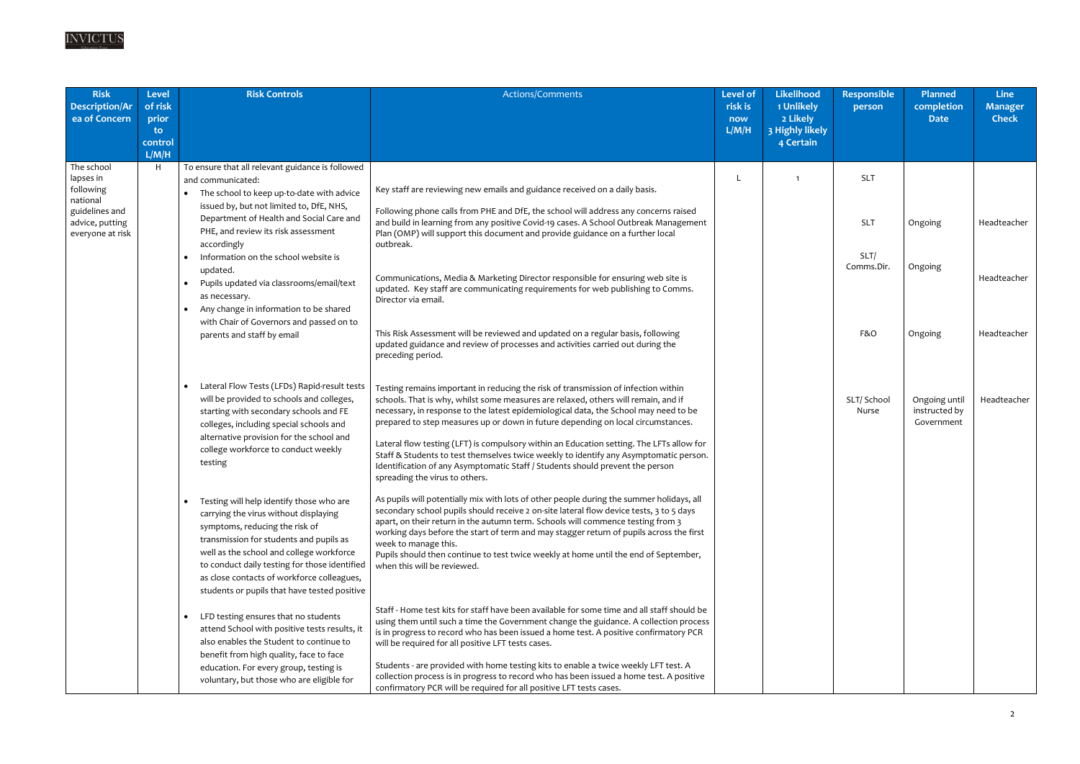

| <b>Risk</b><br><b>Description/Ar</b><br>ea of Concern                                                     | <b>Level</b><br>of risk<br>prior<br>to.<br>control<br>L/M/H | <b>Risk Controls</b>                                                                                                                                                                                                                                                                                                                                                                                                                                                                                                                                                                                                                         | Actions/Comments                                                                                                                                                                                                                                                                                                                                                                                                                                                                                                                                                                                                                                                                                                                                                                                                                                                                                                                                                                                                                                                                                                | <b>Level of</b><br>risk is<br>now<br>L/M/H | <b>Likelihood</b><br>1 Unlikely<br>2 Likely<br>3 Highly likely<br>4 Certain | <b>Responsible</b><br>person                   | Planned<br>completion<br><b>Date</b>                    | <b>Line</b><br><b>Manager</b><br><b>Check</b> |
|-----------------------------------------------------------------------------------------------------------|-------------------------------------------------------------|----------------------------------------------------------------------------------------------------------------------------------------------------------------------------------------------------------------------------------------------------------------------------------------------------------------------------------------------------------------------------------------------------------------------------------------------------------------------------------------------------------------------------------------------------------------------------------------------------------------------------------------------|-----------------------------------------------------------------------------------------------------------------------------------------------------------------------------------------------------------------------------------------------------------------------------------------------------------------------------------------------------------------------------------------------------------------------------------------------------------------------------------------------------------------------------------------------------------------------------------------------------------------------------------------------------------------------------------------------------------------------------------------------------------------------------------------------------------------------------------------------------------------------------------------------------------------------------------------------------------------------------------------------------------------------------------------------------------------------------------------------------------------|--------------------------------------------|-----------------------------------------------------------------------------|------------------------------------------------|---------------------------------------------------------|-----------------------------------------------|
| The school<br>lapses in<br>following<br>national<br>guidelines and<br>advice, putting<br>everyone at risk | H.                                                          | To ensure that all relevant guidance is followed<br>and communicated:<br>The school to keep up-to-date with advice<br>issued by, but not limited to, DfE, NHS,<br>Department of Health and Social Care and<br>PHE, and review its risk assessment<br>accordingly<br>Information on the school website is<br>updated.<br>Pupils updated via classrooms/email/text<br>$\bullet$<br>as necessary.<br>Any change in information to be shared<br>$\bullet$<br>with Chair of Governors and passed on to                                                                                                                                            | Key staff are reviewing new emails and guidance received on a daily basis.<br>Following phone calls from PHE and DfE, the school will address any concerns raised<br>and build in learning from any positive Covid-19 cases. A School Outbreak Management<br>Plan (OMP) will support this document and provide guidance on a further local<br>outbreak.<br>Communications, Media & Marketing Director responsible for ensuring web site is<br>updated. Key staff are communicating requirements for web publishing to Comms.<br>Director via email.                                                                                                                                                                                                                                                                                                                                                                                                                                                                                                                                                             |                                            | $\mathbf 1$                                                                 | <b>SLT</b><br><b>SLT</b><br>SLT/<br>Comms.Dir. | Ongoing<br>Ongoing                                      | Headteacher<br>Headteacher                    |
|                                                                                                           |                                                             | parents and staff by email<br>Lateral Flow Tests (LFDs) Rapid-result tests<br>$\bullet$<br>will be provided to schools and colleges,<br>starting with secondary schools and FE<br>colleges, including special schools and<br>alternative provision for the school and<br>college workforce to conduct weekly<br>testing                                                                                                                                                                                                                                                                                                                      | This Risk Assessment will be reviewed and updated on a regular basis, following<br>updated guidance and review of processes and activities carried out during the<br>preceding period.<br>Testing remains important in reducing the risk of transmission of infection within<br>schools. That is why, whilst some measures are relaxed, others will remain, and if<br>necessary, in response to the latest epidemiological data, the School may need to be<br>prepared to step measures up or down in future depending on local circumstances.<br>Lateral flow testing (LFT) is compulsory within an Education setting. The LFTs allow for<br>Staff & Students to test themselves twice weekly to identify any Asymptomatic person.<br>Identification of any Asymptomatic Staff / Students should prevent the person<br>spreading the virus to others.                                                                                                                                                                                                                                                          |                                            |                                                                             | F&O<br>SLT/ School<br>Nurse                    | Ongoing<br>Ongoing until<br>instructed by<br>Government | Headteacher<br>Headteacher                    |
|                                                                                                           |                                                             | Testing will help identify those who are<br>carrying the virus without displaying<br>symptoms, reducing the risk of<br>transmission for students and pupils as<br>well as the school and college workforce<br>to conduct daily testing for those identified<br>as close contacts of workforce colleagues,<br>students or pupils that have tested positive<br>LFD testing ensures that no students<br>$\bullet$<br>attend School with positive tests results, it<br>also enables the Student to continue to<br>benefit from high quality, face to face<br>education. For every group, testing is<br>voluntary, but those who are eligible for | As pupils will potentially mix with lots of other people during the summer holidays, all<br>secondary school pupils should receive 2 on-site lateral flow device tests, 3 to 5 days<br>apart, on their return in the autumn term. Schools will commence testing from 3<br>working days before the start of term and may stagger return of pupils across the first<br>week to manage this.<br>Pupils should then continue to test twice weekly at home until the end of September,<br>when this will be reviewed.<br>Staff - Home test kits for staff have been available for some time and all staff should be<br>using them until such a time the Government change the guidance. A collection process<br>is in progress to record who has been issued a home test. A positive confirmatory PCR<br>will be required for all positive LFT tests cases.<br>Students - are provided with home testing kits to enable a twice weekly LFT test. A<br>collection process is in progress to record who has been issued a home test. A positive<br>confirmatory PCR will be required for all positive LFT tests cases. |                                            |                                                                             |                                                |                                                         |                                               |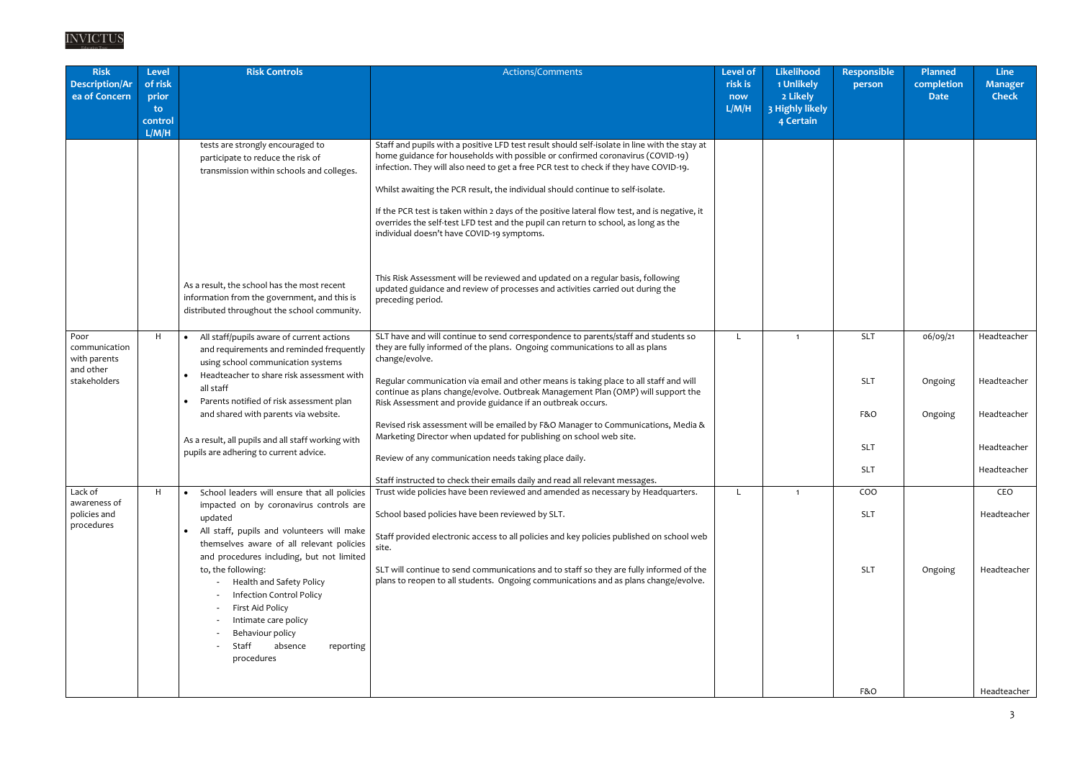| <b>Risk</b><br><b>Description/Ar</b><br>ea of Concern              | <b>Level</b><br>of risk<br>prior<br>$\mathbf{to}$<br>control<br>L/M/H | <b>Risk Controls</b>                                                                                                                                                                             | Actions/Comments                                                                                                                                                                                                                                                                                                                                                                                                                                                                                                                                                                                  | Level of<br>risk is<br>now<br>L/M/H | <b>Likelihood</b><br>1 Unlikely<br>2 Likely<br>3 Highly likely<br>4 Certain | Responsible<br>person    | Planned<br>completion<br><b>Date</b> | <b>Line</b><br><b>Manager</b><br><b>Check</b> |
|--------------------------------------------------------------------|-----------------------------------------------------------------------|--------------------------------------------------------------------------------------------------------------------------------------------------------------------------------------------------|---------------------------------------------------------------------------------------------------------------------------------------------------------------------------------------------------------------------------------------------------------------------------------------------------------------------------------------------------------------------------------------------------------------------------------------------------------------------------------------------------------------------------------------------------------------------------------------------------|-------------------------------------|-----------------------------------------------------------------------------|--------------------------|--------------------------------------|-----------------------------------------------|
|                                                                    |                                                                       | tests are strongly encouraged to<br>participate to reduce the risk of<br>transmission within schools and colleges.                                                                               | Staff and pupils with a positive LFD test result should self-isolate in line with the stay at<br>home guidance for households with possible or confirmed coronavirus (COVID-19)<br>infection. They will also need to get a free PCR test to check if they have COVID-19.<br>Whilst awaiting the PCR result, the individual should continue to self-isolate.<br>If the PCR test is taken within 2 days of the positive lateral flow test, and is negative, it<br>overrides the self-test LFD test and the pupil can return to school, as long as the<br>individual doesn't have COVID-19 symptoms. |                                     |                                                                             |                          |                                      |                                               |
|                                                                    |                                                                       | As a result, the school has the most recent<br>information from the government, and this is<br>distributed throughout the school community.                                                      | This Risk Assessment will be reviewed and updated on a regular basis, following<br>updated guidance and review of processes and activities carried out during the<br>preceding period.                                                                                                                                                                                                                                                                                                                                                                                                            |                                     |                                                                             |                          |                                      |                                               |
| Poor<br>communication<br>with parents<br>and other<br>stakeholders | H                                                                     | All staff/pupils aware of current actions<br>$\bullet$<br>and requirements and reminded frequently<br>using school communication systems<br>Headteacher to share risk assessment with            | SLT have and will continue to send correspondence to parents/staff and students so<br>they are fully informed of the plans. Ongoing communications to all as plans<br>change/evolve.<br>Regular communication via email and other means is taking place to all staff and will                                                                                                                                                                                                                                                                                                                     |                                     | $\overline{1}$                                                              | <b>SLT</b><br><b>SLT</b> | 06/09/21                             | Headteacher<br>Headteacher                    |
|                                                                    |                                                                       | all staff<br>Parents notified of risk assessment plan<br>and shared with parents via website.                                                                                                    | continue as plans change/evolve. Outbreak Management Plan (OMP) will support the<br>Risk Assessment and provide guidance if an outbreak occurs.<br>Revised risk assessment will be emailed by F&O Manager to Communications, Media &                                                                                                                                                                                                                                                                                                                                                              |                                     |                                                                             | F&O                      | Ongoing<br>Ongoing                   | Headteacher                                   |
|                                                                    |                                                                       | As a result, all pupils and all staff working with<br>pupils are adhering to current advice.                                                                                                     | Marketing Director when updated for publishing on school web site.<br>Review of any communication needs taking place daily.                                                                                                                                                                                                                                                                                                                                                                                                                                                                       |                                     |                                                                             | <b>SLT</b><br><b>SLT</b> |                                      | Headteacher<br>Headteacher                    |
|                                                                    |                                                                       |                                                                                                                                                                                                  | Staff instructed to check their emails daily and read all relevant messages.                                                                                                                                                                                                                                                                                                                                                                                                                                                                                                                      |                                     |                                                                             |                          |                                      |                                               |
| Lack of<br>awareness of                                            | H.                                                                    | School leaders will ensure that all policies<br>$\bullet$<br>impacted on by coronavirus controls are                                                                                             | Trust wide policies have been reviewed and amended as necessary by Headquarters.                                                                                                                                                                                                                                                                                                                                                                                                                                                                                                                  |                                     | - 1                                                                         | COO                      |                                      | CEO                                           |
| policies and<br>procedures                                         |                                                                       | updated<br>All staff, pupils and volunteers will make<br>themselves aware of all relevant policies<br>and procedures including, but not limited                                                  | School based policies have been reviewed by SLT.<br>Staff provided electronic access to all policies and key policies published on school web<br>site.                                                                                                                                                                                                                                                                                                                                                                                                                                            |                                     |                                                                             | <b>SLT</b>               |                                      | Headteacher                                   |
|                                                                    |                                                                       | to, the following:<br>Health and Safety Policy<br><b>Infection Control Policy</b><br>First Aid Policy<br>Intimate care policy<br>Behaviour policy<br>Staff<br>absence<br>reporting<br>procedures | SLT will continue to send communications and to staff so they are fully informed of the<br>plans to reopen to all students. Ongoing communications and as plans change/evolve.                                                                                                                                                                                                                                                                                                                                                                                                                    |                                     |                                                                             | <b>SLT</b>               | Ongoing                              | Headteacher                                   |
|                                                                    |                                                                       |                                                                                                                                                                                                  |                                                                                                                                                                                                                                                                                                                                                                                                                                                                                                                                                                                                   |                                     |                                                                             | F&O                      |                                      | Headteacher                                   |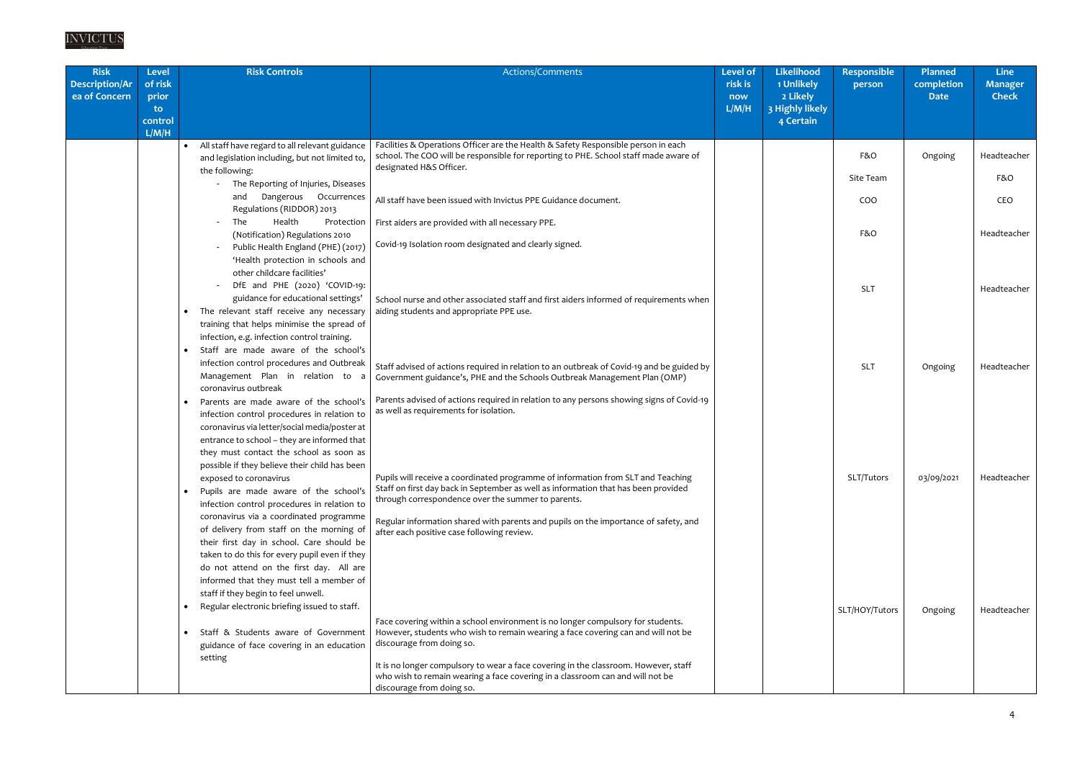| <b>Risk</b><br><b>Description/Ar</b><br>ea of Concern | <b>Level</b><br>of risk<br>prior<br>to.<br>control<br>L/M/H | <b>Risk Controls</b>                                                                                                                                                                                                                                                                                                                                                                                           | Actions/Comments                                                                                                                                                                                                                                                                                                                                                                                      | <b>Level of</b><br>risk is<br>now<br>L/M/H | <b>Likelihood</b><br>1 Unlikely<br>2 Likely<br>3 Highly likely<br>4 Certain | <b>Responsible</b><br>person | Planned<br>completion<br><b>Date</b> | <b>Line</b><br><b>Manager</b><br><b>Check</b> |
|-------------------------------------------------------|-------------------------------------------------------------|----------------------------------------------------------------------------------------------------------------------------------------------------------------------------------------------------------------------------------------------------------------------------------------------------------------------------------------------------------------------------------------------------------------|-------------------------------------------------------------------------------------------------------------------------------------------------------------------------------------------------------------------------------------------------------------------------------------------------------------------------------------------------------------------------------------------------------|--------------------------------------------|-----------------------------------------------------------------------------|------------------------------|--------------------------------------|-----------------------------------------------|
|                                                       |                                                             | All staff have regard to all relevant guidance<br>$\bullet$<br>and legislation including, but not limited to,<br>the following:<br>The Reporting of Injuries, Diseases<br>Dangerous Occurrences<br>and<br>Regulations (RIDDOR) 2013<br>The<br>Health<br>Protection                                                                                                                                             | Facilities & Operations Officer are the Health & Safety Responsible person in each<br>school. The COO will be responsible for reporting to PHE. School staff made aware of<br>designated H&S Officer.<br>All staff have been issued with Invictus PPE Guidance document.<br>First aiders are provided with all necessary PPE.                                                                         |                                            |                                                                             | F&O<br>Site Team<br>COO      | Ongoing                              | Headteacher<br>F&O<br>CEO                     |
|                                                       |                                                             | (Notification) Regulations 2010<br>Public Health England (PHE) (2017)<br>'Health protection in schools and<br>other childcare facilities'<br>DfE and PHE (2020) 'COVID-19:<br>guidance for educational settings'<br>• The relevant staff receive any necessary<br>training that helps minimise the spread of                                                                                                   | Covid-19 Isolation room designated and clearly signed.<br>School nurse and other associated staff and first aiders informed of requirements when<br>aiding students and appropriate PPE use.                                                                                                                                                                                                          |                                            |                                                                             | F&O<br><b>SLT</b>            |                                      | Headteacher<br>Headteacher                    |
|                                                       |                                                             | infection, e.g. infection control training.<br>Staff are made aware of the school's<br>$\bullet$<br>infection control procedures and Outbreak<br>Management Plan in relation to a<br>coronavirus outbreak<br>Parents are made aware of the school's<br>infection control procedures in relation to                                                                                                             | Staff advised of actions required in relation to an outbreak of Covid-19 and be guided by<br>Government guidance's, PHE and the Schools Outbreak Management Plan (OMP)<br>Parents advised of actions required in relation to any persons showing signs of Covid-19<br>as well as requirements for isolation.                                                                                          |                                            |                                                                             | <b>SLT</b>                   | Ongoing                              | Headteacher                                   |
|                                                       |                                                             | coronavirus via letter/social media/poster at<br>entrance to school - they are informed that<br>they must contact the school as soon as<br>possible if they believe their child has been<br>exposed to coronavirus<br>Pupils are made aware of the school's<br>$\bullet$<br>infection control procedures in relation to<br>coronavirus via a coordinated programme<br>of delivery from staff on the morning of | Pupils will receive a coordinated programme of information from SLT and Teaching<br>Staff on first day back in September as well as information that has been provided<br>through correspondence over the summer to parents.<br>Regular information shared with parents and pupils on the importance of safety, and<br>after each positive case following review.                                     |                                            |                                                                             | SLT/Tutors                   | 03/09/2021                           | Headteacher                                   |
|                                                       |                                                             | their first day in school. Care should be<br>taken to do this for every pupil even if they<br>do not attend on the first day. All are<br>informed that they must tell a member of<br>staff if they begin to feel unwell.<br>Regular electronic briefing issued to staff.<br>Staff & Students aware of Government<br>guidance of face covering in an education<br>setting                                       | Face covering within a school environment is no longer compulsory for students.<br>However, students who wish to remain wearing a face covering can and will not be<br>discourage from doing so.<br>It is no longer compulsory to wear a face covering in the classroom. However, staff<br>who wish to remain wearing a face covering in a classroom can and will not be<br>discourage from doing so. |                                            |                                                                             | SLT/HOY/Tutors               | Ongoing                              | Headteacher                                   |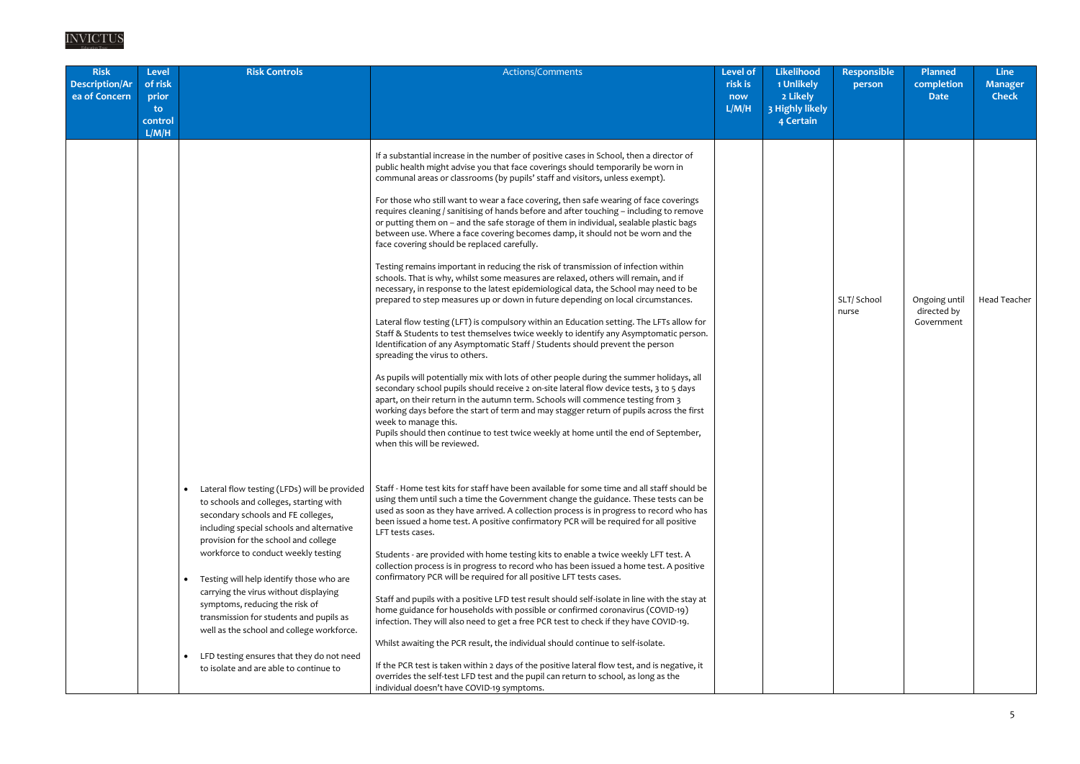| <b>Risk</b><br><b>Description/Ar</b><br>ea of Concern | Level<br>of risk<br>prior<br>to<br>control<br>L/M/H | <b>Risk Controls</b>                                                                                                                                                                                                                                                                                                                                                                                                                                                                                                                                                        | Actions/Comments                                                                                                                                                                                                                                                                                                                                                                                                                                                                                                                                                                                                                                                                                                                                                                                                                                                                                                                                                                                                                                                                                                                                                                                                                                                                                                                                                                                                                                                                                                                                                                                                                                                                                                                                                                                                                                                                                                                                                                                                                                                                                                                                                                                                                                                                                                                                                                                                                                                                                                                                                                                                                                                                                                                                                                                                                                                                                                                                                                                                                                                                                                            | <b>Level of</b><br>risk is<br>now<br>L/M/H | <b>Likelihood</b><br>1 Unlikely<br>2 Likely<br>3 Highly likely<br>4 Certain | <b>Responsible</b><br>person | <b>Planned</b><br>completion<br><b>Date</b> | <b>Line</b><br><b>Manager</b><br><b>Check</b> |
|-------------------------------------------------------|-----------------------------------------------------|-----------------------------------------------------------------------------------------------------------------------------------------------------------------------------------------------------------------------------------------------------------------------------------------------------------------------------------------------------------------------------------------------------------------------------------------------------------------------------------------------------------------------------------------------------------------------------|-----------------------------------------------------------------------------------------------------------------------------------------------------------------------------------------------------------------------------------------------------------------------------------------------------------------------------------------------------------------------------------------------------------------------------------------------------------------------------------------------------------------------------------------------------------------------------------------------------------------------------------------------------------------------------------------------------------------------------------------------------------------------------------------------------------------------------------------------------------------------------------------------------------------------------------------------------------------------------------------------------------------------------------------------------------------------------------------------------------------------------------------------------------------------------------------------------------------------------------------------------------------------------------------------------------------------------------------------------------------------------------------------------------------------------------------------------------------------------------------------------------------------------------------------------------------------------------------------------------------------------------------------------------------------------------------------------------------------------------------------------------------------------------------------------------------------------------------------------------------------------------------------------------------------------------------------------------------------------------------------------------------------------------------------------------------------------------------------------------------------------------------------------------------------------------------------------------------------------------------------------------------------------------------------------------------------------------------------------------------------------------------------------------------------------------------------------------------------------------------------------------------------------------------------------------------------------------------------------------------------------------------------------------------------------------------------------------------------------------------------------------------------------------------------------------------------------------------------------------------------------------------------------------------------------------------------------------------------------------------------------------------------------------------------------------------------------------------------------------------------------|--------------------------------------------|-----------------------------------------------------------------------------|------------------------------|---------------------------------------------|-----------------------------------------------|
|                                                       |                                                     | Lateral flow testing (LFDs) will be provided<br>to schools and colleges, starting with<br>secondary schools and FE colleges,<br>including special schools and alternative<br>provision for the school and college<br>workforce to conduct weekly testing<br>Testing will help identify those who are<br>carrying the virus without displaying<br>symptoms, reducing the risk of<br>transmission for students and pupils as<br>well as the school and college workforce.<br>LFD testing ensures that they do not need<br>$\bullet$<br>to isolate and are able to continue to | If a substantial increase in the number of positive cases in School, then a director of<br>public health might advise you that face coverings should temporarily be worn in<br>communal areas or classrooms (by pupils' staff and visitors, unless exempt).<br>For those who still want to wear a face covering, then safe wearing of face coverings<br>requires cleaning / sanitising of hands before and after touching - including to remove<br>or putting them on - and the safe storage of them in individual, sealable plastic bags<br>between use. Where a face covering becomes damp, it should not be worn and the<br>face covering should be replaced carefully.<br>Testing remains important in reducing the risk of transmission of infection within<br>schools. That is why, whilst some measures are relaxed, others will remain, and if<br>necessary, in response to the latest epidemiological data, the School may need to be<br>prepared to step measures up or down in future depending on local circumstances.<br>Lateral flow testing (LFT) is compulsory within an Education setting. The LFTs allow for<br>Staff & Students to test themselves twice weekly to identify any Asymptomatic person.<br>Identification of any Asymptomatic Staff / Students should prevent the person<br>spreading the virus to others.<br>As pupils will potentially mix with lots of other people during the summer holidays, all<br>secondary school pupils should receive 2 on-site lateral flow device tests, 3 to 5 days<br>apart, on their return in the autumn term. Schools will commence testing from 3<br>working days before the start of term and may stagger return of pupils across the first<br>week to manage this.<br>Pupils should then continue to test twice weekly at home until the end of September,<br>when this will be reviewed.<br>Staff - Home test kits for staff have been available for some time and all staff should be<br>using them until such a time the Government change the guidance. These tests can be<br>used as soon as they have arrived. A collection process is in progress to record who has<br>been issued a home test. A positive confirmatory PCR will be required for all positive<br>LFT tests cases.<br>Students - are provided with home testing kits to enable a twice weekly LFT test. A<br>collection process is in progress to record who has been issued a home test. A positive<br>confirmatory PCR will be required for all positive LFT tests cases.<br>Staff and pupils with a positive LFD test result should self-isolate in line with the stay at<br>home guidance for households with possible or confirmed coronavirus (COVID-19)<br>infection. They will also need to get a free PCR test to check if they have COVID-19.<br>Whilst awaiting the PCR result, the individual should continue to self-isolate.<br>If the PCR test is taken within 2 days of the positive lateral flow test, and is negative, it<br>overrides the self-test LFD test and the pupil can return to school, as long as the<br>individual doesn't have COVID-19 symptoms. |                                            |                                                                             | SLT/ School<br>nurse         | Ongoing until<br>directed by<br>Government  | <b>Head Teacher</b>                           |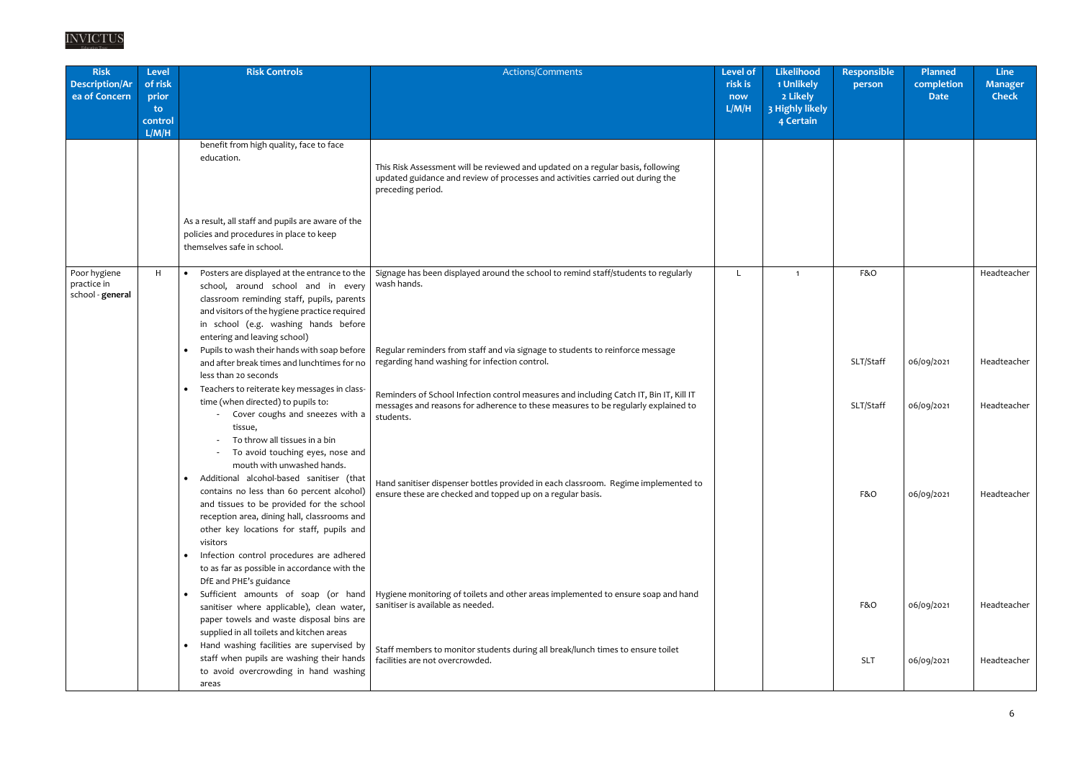| <b>Risk</b><br><b>Description/Ar</b><br>ea of Concern | Level<br>of risk<br>prior<br>to<br>control<br>L/M/H | <b>Risk Controls</b>                                                                                                                                                                                                                                                     | Actions/Comments                                                                                                                                                                         | <b>Level of</b><br>risk is<br>now<br>L/M/H | <b>Likelihood</b><br>1 Unlikely<br>2 Likely<br>3 Highly likely<br>4 Certain | Responsible<br>person | Planned<br>completion<br><b>Date</b> | <b>Line</b><br><b>Manager</b><br><b>Check</b> |
|-------------------------------------------------------|-----------------------------------------------------|--------------------------------------------------------------------------------------------------------------------------------------------------------------------------------------------------------------------------------------------------------------------------|------------------------------------------------------------------------------------------------------------------------------------------------------------------------------------------|--------------------------------------------|-----------------------------------------------------------------------------|-----------------------|--------------------------------------|-----------------------------------------------|
|                                                       |                                                     | benefit from high quality, face to face<br>education.                                                                                                                                                                                                                    | This Risk Assessment will be reviewed and updated on a regular basis, following<br>updated guidance and review of processes and activities carried out during the<br>preceding period.   |                                            |                                                                             |                       |                                      |                                               |
|                                                       |                                                     | As a result, all staff and pupils are aware of the<br>policies and procedures in place to keep<br>themselves safe in school.                                                                                                                                             |                                                                                                                                                                                          |                                            |                                                                             |                       |                                      |                                               |
| Poor hygiene<br>practice in<br>school - general       | H                                                   | Posters are displayed at the entrance to the<br>$\bullet$<br>school, around school and in every<br>classroom reminding staff, pupils, parents<br>and visitors of the hygiene practice required<br>in school (e.g. washing hands before<br>entering and leaving school)   | Signage has been displayed around the school to remind staff/students to regularly<br>wash hands.                                                                                        |                                            | $\overline{1}$                                                              | F&O                   |                                      | Headteacher                                   |
|                                                       |                                                     | Pupils to wash their hands with soap before<br>$\bullet$<br>and after break times and lunchtimes for no<br>less than 20 seconds                                                                                                                                          | Regular reminders from staff and via signage to students to reinforce message<br>regarding hand washing for infection control.                                                           |                                            |                                                                             | SLT/Staff             | 06/09/2021                           | Headteacher                                   |
|                                                       |                                                     | Teachers to reiterate key messages in class-<br>$\bullet$<br>time (when directed) to pupils to:<br>Cover coughs and sneezes with a<br>tissue,<br>To throw all tissues in a bin<br>To avoid touching eyes, nose and                                                       | Reminders of School Infection control measures and including Catch IT, Bin IT, Kill IT<br>messages and reasons for adherence to these measures to be regularly explained to<br>students. |                                            |                                                                             | SLT/Staff             | 06/09/2021                           | Headteacher                                   |
|                                                       |                                                     | mouth with unwashed hands.<br>Additional alcohol-based sanitiser (that<br>contains no less than 60 percent alcohol)<br>and tissues to be provided for the school<br>reception area, dining hall, classrooms and<br>other key locations for staff, pupils and<br>visitors | Hand sanitiser dispenser bottles provided in each classroom. Regime implemented to<br>ensure these are checked and topped up on a regular basis.                                         |                                            |                                                                             | F&O                   | 06/09/2021                           | Headteacher                                   |
|                                                       |                                                     | Infection control procedures are adhered<br>to as far as possible in accordance with the<br>DfE and PHE's guidance                                                                                                                                                       |                                                                                                                                                                                          |                                            |                                                                             |                       |                                      |                                               |
|                                                       |                                                     | $\bullet$<br>sanitiser where applicable), clean water,<br>paper towels and waste disposal bins are<br>supplied in all toilets and kitchen areas                                                                                                                          | Sufficient amounts of soap (or hand   Hygiene monitoring of toilets and other areas implemented to ensure soap and hand<br>sanitiser is available as needed.                             |                                            |                                                                             | F&O                   | 06/09/2021                           | Headteacher                                   |
|                                                       |                                                     | Hand washing facilities are supervised by<br>staff when pupils are washing their hands<br>to avoid overcrowding in hand washing<br>areas                                                                                                                                 | Staff members to monitor students during all break/lunch times to ensure toilet<br>facilities are not overcrowded.                                                                       |                                            |                                                                             | <b>SLT</b>            | 06/09/2021                           | Headteacher                                   |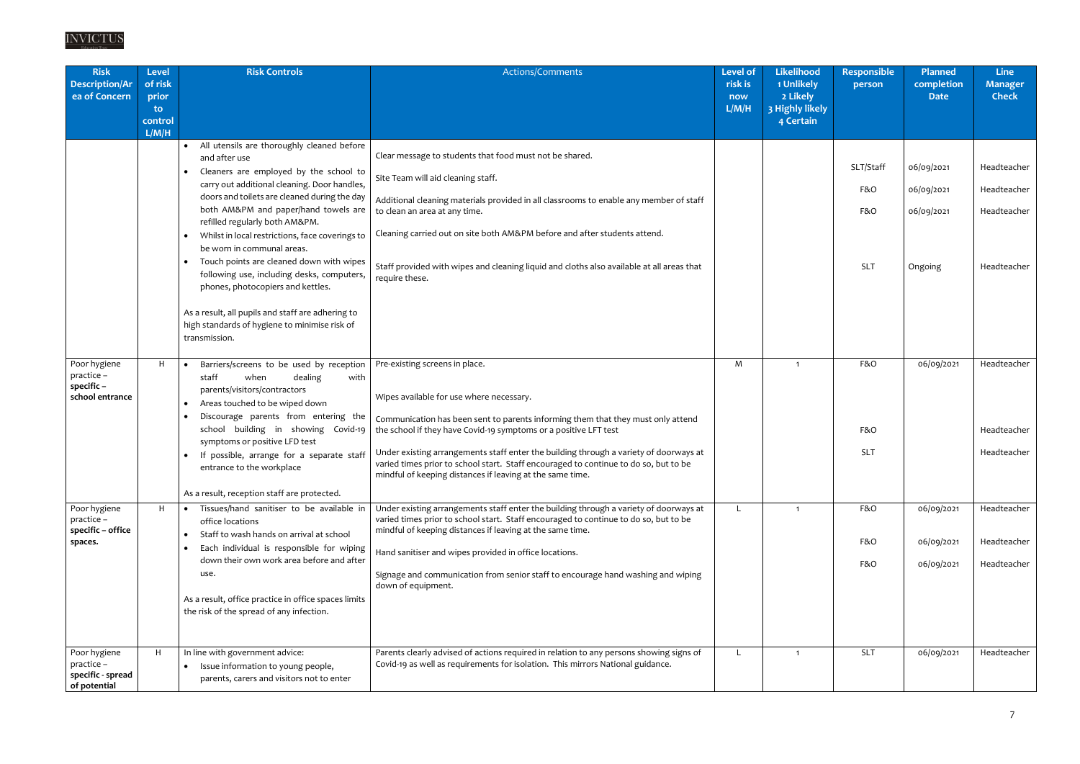| <b>Risk</b><br><b>Description/Ar</b><br>ea of Concern           | <b>Level</b><br>of risk<br>prior<br>to.<br>control<br>L/M/H | <b>Risk Controls</b>                                                                                                                                                                                                                                                                                                                                                                                                                                                                                                                                                                                                                | Actions/Comments                                                                                                                                                                                                                                                                                                                                                                                                                                                                 | <b>Level of</b><br>risk is<br>now<br>L/M/H | <b>Likelihood</b><br>1 Unlikely<br>2 Likely<br>3 Highly likely<br>4 Certain | <b>Responsible</b><br>person          | <b>Planned</b><br>completion<br><b>Date</b>       | <b>Line</b><br><b>Manager</b><br><b>Check</b>            |
|-----------------------------------------------------------------|-------------------------------------------------------------|-------------------------------------------------------------------------------------------------------------------------------------------------------------------------------------------------------------------------------------------------------------------------------------------------------------------------------------------------------------------------------------------------------------------------------------------------------------------------------------------------------------------------------------------------------------------------------------------------------------------------------------|----------------------------------------------------------------------------------------------------------------------------------------------------------------------------------------------------------------------------------------------------------------------------------------------------------------------------------------------------------------------------------------------------------------------------------------------------------------------------------|--------------------------------------------|-----------------------------------------------------------------------------|---------------------------------------|---------------------------------------------------|----------------------------------------------------------|
|                                                                 |                                                             | All utensils are thoroughly cleaned before<br>$\bullet$<br>and after use<br>Cleaners are employed by the school to<br>carry out additional cleaning. Door handles,<br>doors and toilets are cleaned during the day<br>both AM&PM and paper/hand towels are<br>refilled regularly both AM&PM.<br>Whilst in local restrictions, face coverings to<br>be worn in communal areas.<br>Touch points are cleaned down with wipes<br>following use, including desks, computers,<br>phones, photocopiers and kettles.<br>As a result, all pupils and staff are adhering to<br>high standards of hygiene to minimise risk of<br>transmission. | Clear message to students that food must not be shared.<br>Site Team will aid cleaning staff.<br>Additional cleaning materials provided in all classrooms to enable any member of staff<br>to clean an area at any time.<br>Cleaning carried out on site both AM&PM before and after students attend.<br>Staff provided with wipes and cleaning liquid and cloths also available at all areas that<br>require these.                                                             |                                            |                                                                             | SLT/Staff<br>F&O<br>F&O<br><b>SLT</b> | 06/09/2021<br>06/09/2021<br>06/09/2021<br>Ongoing | Headteacher<br>Headteacher<br>Headteacher<br>Headteacher |
| Poor hygiene<br>practice -<br>specific-<br>school entrance      | H                                                           | Barriers/screens to be used by reception<br>staff<br>when<br>dealing<br>with<br>parents/visitors/contractors<br>Areas touched to be wiped down<br>Discourage parents from entering the<br>school building in showing Covid-19<br>symptoms or positive LFD test<br>If possible, arrange for a separate staff<br>$\bullet$<br>entrance to the workplace<br>As a result, reception staff are protected.                                                                                                                                                                                                                                | Pre-existing screens in place.<br>Wipes available for use where necessary.<br>Communication has been sent to parents informing them that they must only attend<br>the school if they have Covid-19 symptoms or a positive LFT test<br>Under existing arrangements staff enter the building through a variety of doorways at<br>varied times prior to school start. Staff encouraged to continue to do so, but to be<br>mindful of keeping distances if leaving at the same time. | M                                          | $\overline{1}$                                                              | F&O<br>F&O<br><b>SLT</b>              | 06/09/2021                                        | Headteacher<br>Headteacher<br>Headteacher                |
| Poor hygiene<br>practice -<br>specific - office<br>spaces.      | H                                                           | Tissues/hand sanitiser to be available in<br>office locations<br>Staff to wash hands on arrival at school<br>Each individual is responsible for wiping<br>$\bullet$<br>down their own work area before and after<br>use.<br>As a result, office practice in office spaces limits<br>the risk of the spread of any infection.                                                                                                                                                                                                                                                                                                        | Under existing arrangements staff enter the building through a variety of doorways at<br>varied times prior to school start. Staff encouraged to continue to do so, but to be<br>mindful of keeping distances if leaving at the same time.<br>Hand sanitiser and wipes provided in office locations.<br>Signage and communication from senior staff to encourage hand washing and wiping<br>down of equipment.                                                                   | $\mathsf{L}$                               | $\mathbf{1}$                                                                | F&O<br>F&O<br>F&O                     | 06/09/2021<br>06/09/2021<br>06/09/2021            | Headteacher<br>Headteacher<br>Headteacher                |
| Poor hygiene<br>practice -<br>specific - spread<br>of potential | H                                                           | In line with government advice:<br>Issue information to young people,<br>$\bullet$<br>parents, carers and visitors not to enter                                                                                                                                                                                                                                                                                                                                                                                                                                                                                                     | Parents clearly advised of actions required in relation to any persons showing signs of<br>Covid-19 as well as requirements for isolation. This mirrors National guidance.                                                                                                                                                                                                                                                                                                       | $\mathsf{L}$                               | $\mathbf 1$                                                                 | <b>SLT</b>                            | 06/09/2021                                        | Headteacher                                              |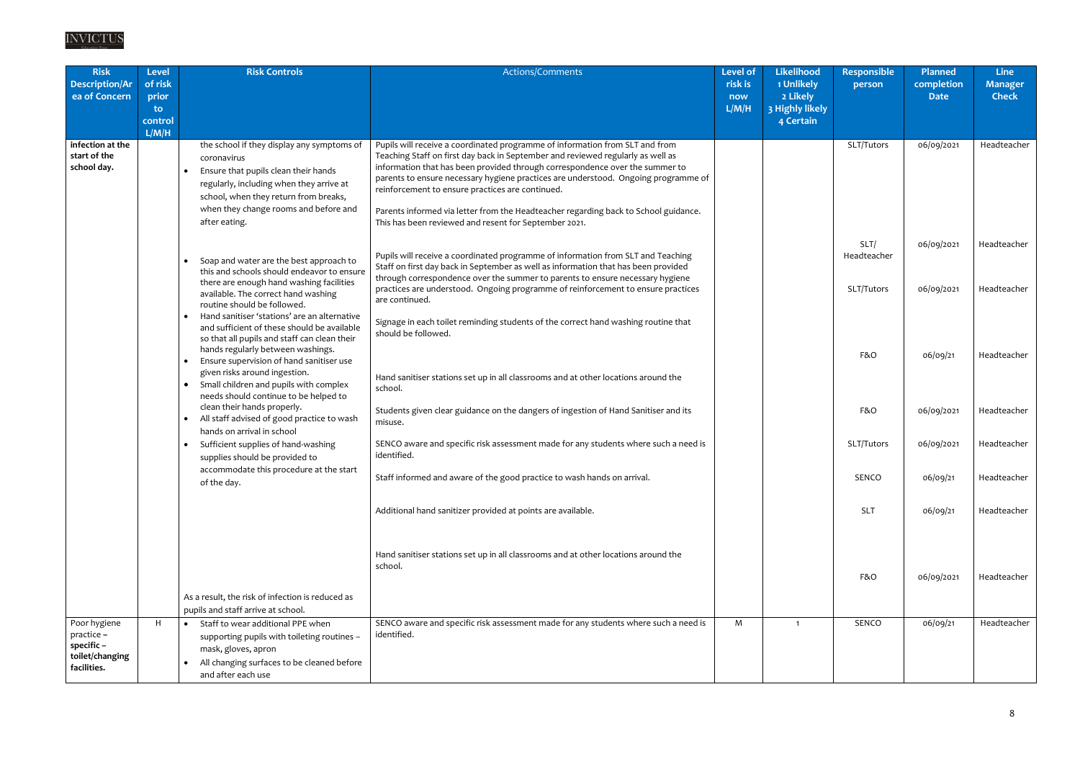| <b>Risk</b><br><b>Description/Ar</b><br>ea of Concern                     | <b>Level</b><br>of risk<br>prior<br>to<br>control<br>L/M/H | <b>Risk Controls</b>                                                                                                                                                                                                                                                                                    | Actions/Comments                                                                                                                                                                                                                                                                                                                                                                                                                                                                                                                          | Level of<br>risk is<br>now<br>L/M/H | <b>Likelihood</b><br>1 Unlikely<br>2 Likely<br>3 Highly likely<br>4 Certain | <b>Responsible</b><br>person      | <b>Planned</b><br>completion<br><b>Date</b> | <b>Line</b><br><b>Manager</b><br><b>Check</b> |
|---------------------------------------------------------------------------|------------------------------------------------------------|---------------------------------------------------------------------------------------------------------------------------------------------------------------------------------------------------------------------------------------------------------------------------------------------------------|-------------------------------------------------------------------------------------------------------------------------------------------------------------------------------------------------------------------------------------------------------------------------------------------------------------------------------------------------------------------------------------------------------------------------------------------------------------------------------------------------------------------------------------------|-------------------------------------|-----------------------------------------------------------------------------|-----------------------------------|---------------------------------------------|-----------------------------------------------|
| infection at the<br>start of the<br>school day.                           |                                                            | the school if they display any symptoms of<br>coronavirus<br>Ensure that pupils clean their hands<br>regularly, including when they arrive at<br>school, when they return from breaks,<br>when they change rooms and before and<br>after eating.                                                        | Pupils will receive a coordinated programme of information from SLT and from<br>Teaching Staff on first day back in September and reviewed regularly as well as<br>information that has been provided through correspondence over the summer to<br>parents to ensure necessary hygiene practices are understood. Ongoing programme of<br>reinforcement to ensure practices are continued.<br>Parents informed via letter from the Headteacher regarding back to School guidance.<br>This has been reviewed and resent for September 2021. |                                     |                                                                             | SLT/Tutors                        | 06/09/2021                                  | Headteacher                                   |
|                                                                           |                                                            | Soap and water are the best approach to<br>this and schools should endeavor to ensure<br>there are enough hand washing facilities<br>available. The correct hand washing<br>routine should be followed.                                                                                                 | Pupils will receive a coordinated programme of information from SLT and Teaching<br>Staff on first day back in September as well as information that has been provided<br>through correspondence over the summer to parents to ensure necessary hygiene<br>practices are understood. Ongoing programme of reinforcement to ensure practices<br>are continued.                                                                                                                                                                             |                                     |                                                                             | SLT/<br>Headteacher<br>SLT/Tutors | 06/09/2021<br>06/09/2021                    | Headteacher<br>Headteacher                    |
|                                                                           | $\bullet$                                                  | Hand sanitiser 'stations' are an alternative<br>and sufficient of these should be available<br>so that all pupils and staff can clean their<br>hands regularly between washings.<br>Ensure supervision of hand sanitiser use<br>given risks around ingestion.<br>Small children and pupils with complex | Signage in each toilet reminding students of the correct hand washing routine that<br>should be followed.<br>Hand sanitiser stations set up in all classrooms and at other locations around the                                                                                                                                                                                                                                                                                                                                           |                                     |                                                                             | F&O                               | 06/09/21                                    | Headteacher                                   |
|                                                                           |                                                            | needs should continue to be helped to<br>clean their hands properly.<br>All staff advised of good practice to wash<br>hands on arrival in school                                                                                                                                                        | school.<br>Students given clear guidance on the dangers of ingestion of Hand Sanitiser and its<br>misuse.                                                                                                                                                                                                                                                                                                                                                                                                                                 |                                     |                                                                             | F&O                               | 06/09/2021                                  | Headteacher                                   |
|                                                                           | $\bullet$                                                  | Sufficient supplies of hand-washing<br>supplies should be provided to                                                                                                                                                                                                                                   | SENCO aware and specific risk assessment made for any students where such a need is<br>identified.                                                                                                                                                                                                                                                                                                                                                                                                                                        |                                     |                                                                             | SLT/Tutors                        | 06/09/2021                                  | Headteacher                                   |
|                                                                           |                                                            | accommodate this procedure at the start<br>of the day.                                                                                                                                                                                                                                                  | Staff informed and aware of the good practice to wash hands on arrival.                                                                                                                                                                                                                                                                                                                                                                                                                                                                   |                                     |                                                                             | SENCO                             | 06/09/21                                    | Headteacher                                   |
|                                                                           |                                                            |                                                                                                                                                                                                                                                                                                         | Additional hand sanitizer provided at points are available.                                                                                                                                                                                                                                                                                                                                                                                                                                                                               |                                     |                                                                             | <b>SLT</b>                        | 06/09/21                                    | Headteacher                                   |
|                                                                           |                                                            |                                                                                                                                                                                                                                                                                                         | Hand sanitiser stations set up in all classrooms and at other locations around the<br>school.                                                                                                                                                                                                                                                                                                                                                                                                                                             |                                     |                                                                             | F&O                               | 06/09/2021                                  | Headteacher                                   |
|                                                                           |                                                            | As a result, the risk of infection is reduced as<br>pupils and staff arrive at school.                                                                                                                                                                                                                  |                                                                                                                                                                                                                                                                                                                                                                                                                                                                                                                                           |                                     |                                                                             |                                   |                                             |                                               |
| Poor hygiene<br>practice -<br>specific-<br>toilet/changing<br>facilities. | H                                                          | Staff to wear additional PPE when<br>supporting pupils with toileting routines -<br>mask, gloves, apron<br>All changing surfaces to be cleaned before<br>and after each use                                                                                                                             | SENCO aware and specific risk assessment made for any students where such a need is<br>identified.                                                                                                                                                                                                                                                                                                                                                                                                                                        | M                                   | - 1                                                                         | SENCO                             | 06/09/21                                    | Headteacher                                   |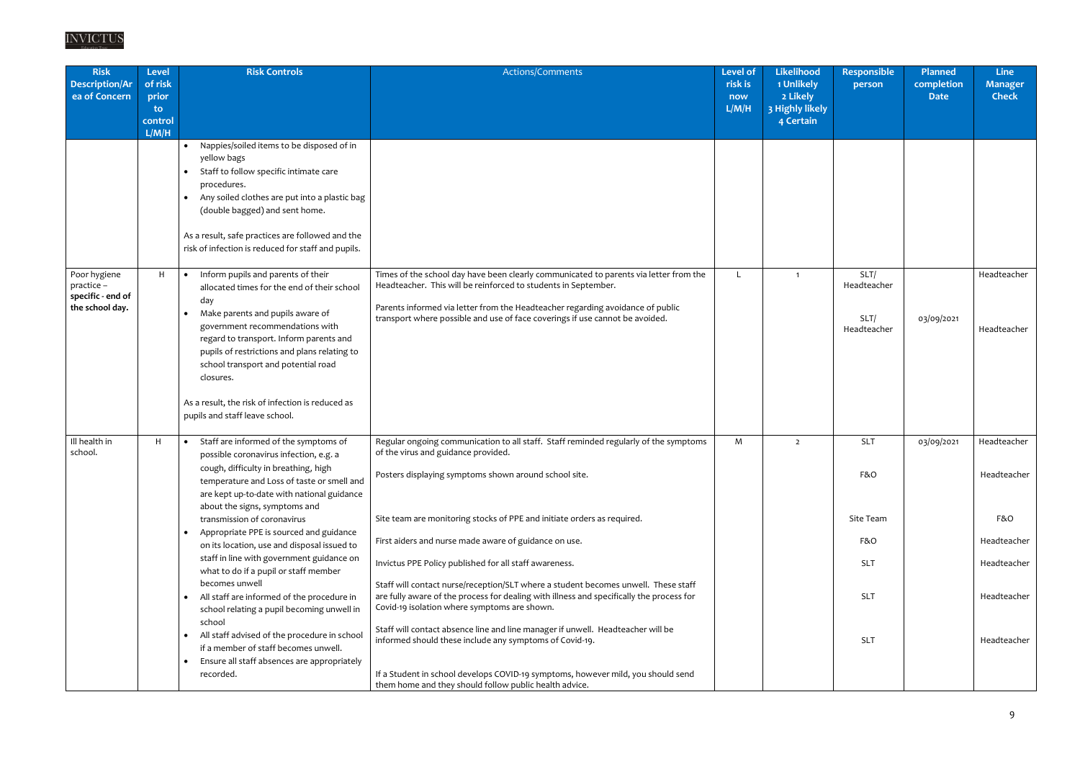| <b>Risk</b><br><b>Description/Ar</b><br>ea of Concern              | <b>Level</b><br>of risk<br>prior<br>to.<br>control<br>L/M/H | <b>Risk Controls</b>                                                                                                                                                                                                                                                                                                                                                                                                                                                                                                                                                                                                                                                                                                                                                      | Actions/Comments                                                                                                                                                                                                                                                                                                                                                                                                                                                                                                                                                                                                                                                                                                                                                                                                                                                                                                 | <b>Level of</b><br>risk is<br>now<br>L/M/H | Likelihood<br>1 Unlikely<br>2 Likely<br>3 Highly likely<br>4 Certain | <b>Responsible</b><br>person                                                    | <b>Planned</b><br>completion<br><b>Date</b> | <b>Line</b><br><b>Manager</b><br><b>Check</b>                                                 |
|--------------------------------------------------------------------|-------------------------------------------------------------|---------------------------------------------------------------------------------------------------------------------------------------------------------------------------------------------------------------------------------------------------------------------------------------------------------------------------------------------------------------------------------------------------------------------------------------------------------------------------------------------------------------------------------------------------------------------------------------------------------------------------------------------------------------------------------------------------------------------------------------------------------------------------|------------------------------------------------------------------------------------------------------------------------------------------------------------------------------------------------------------------------------------------------------------------------------------------------------------------------------------------------------------------------------------------------------------------------------------------------------------------------------------------------------------------------------------------------------------------------------------------------------------------------------------------------------------------------------------------------------------------------------------------------------------------------------------------------------------------------------------------------------------------------------------------------------------------|--------------------------------------------|----------------------------------------------------------------------|---------------------------------------------------------------------------------|---------------------------------------------|-----------------------------------------------------------------------------------------------|
|                                                                    |                                                             | Nappies/soiled items to be disposed of in<br>yellow bags<br>Staff to follow specific intimate care<br>procedures.<br>Any soiled clothes are put into a plastic bag<br>(double bagged) and sent home.<br>As a result, safe practices are followed and the<br>risk of infection is reduced for staff and pupils.                                                                                                                                                                                                                                                                                                                                                                                                                                                            |                                                                                                                                                                                                                                                                                                                                                                                                                                                                                                                                                                                                                                                                                                                                                                                                                                                                                                                  |                                            |                                                                      |                                                                                 |                                             |                                                                                               |
| Poor hygiene<br>practice -<br>specific - end of<br>the school day. | H                                                           | Inform pupils and parents of their<br>$\bullet$<br>allocated times for the end of their school<br>day<br>Make parents and pupils aware of<br>$\bullet$<br>government recommendations with<br>regard to transport. Inform parents and<br>pupils of restrictions and plans relating to<br>school transport and potential road<br>closures.<br>As a result, the risk of infection is reduced as<br>pupils and staff leave school.                                                                                                                                                                                                                                                                                                                                            | Times of the school day have been clearly communicated to parents via letter from the<br>Headteacher. This will be reinforced to students in September.<br>Parents informed via letter from the Headteacher regarding avoidance of public<br>transport where possible and use of face coverings if use cannot be avoided.                                                                                                                                                                                                                                                                                                                                                                                                                                                                                                                                                                                        |                                            | $\mathbf 1$                                                          | SLT/<br>Headteacher<br>SLT/<br>Headteacher                                      | 03/09/2021                                  | Headteacher<br>Headteacher                                                                    |
| Ill health in<br>school.                                           | H                                                           | Staff are informed of the symptoms of<br>possible coronavirus infection, e.g. a<br>cough, difficulty in breathing, high<br>temperature and Loss of taste or smell and<br>are kept up-to-date with national guidance<br>about the signs, symptoms and<br>transmission of coronavirus<br>Appropriate PPE is sourced and guidance<br>$\bullet$<br>on its location, use and disposal issued to<br>staff in line with government guidance on<br>what to do if a pupil or staff member<br>becomes unwell<br>All staff are informed of the procedure in<br>school relating a pupil becoming unwell in<br>school<br>All staff advised of the procedure in school<br>$\bullet$<br>if a member of staff becomes unwell.<br>Ensure all staff absences are appropriately<br>recorded. | Regular ongoing communication to all staff. Staff reminded regularly of the symptoms<br>of the virus and guidance provided.<br>Posters displaying symptoms shown around school site.<br>Site team are monitoring stocks of PPE and initiate orders as required.<br>First aiders and nurse made aware of guidance on use.<br>Invictus PPE Policy published for all staff awareness.<br>Staff will contact nurse/reception/SLT where a student becomes unwell. These staff<br>are fully aware of the process for dealing with illness and specifically the process for<br>Covid-19 isolation where symptoms are shown.<br>Staff will contact absence line and line manager if unwell. Headteacher will be<br>informed should these include any symptoms of Covid-19.<br>If a Student in school develops COVID-19 symptoms, however mild, you should send<br>them home and they should follow public health advice. | M                                          | $\overline{2}$                                                       | <b>SLT</b><br>F&O<br>Site Team<br>F&O<br><b>SLT</b><br><b>SLT</b><br><b>SLT</b> | 03/09/2021                                  | Headteacher<br>Headteacher<br>F&O<br>Headteacher<br>Headteacher<br>Headteacher<br>Headteacher |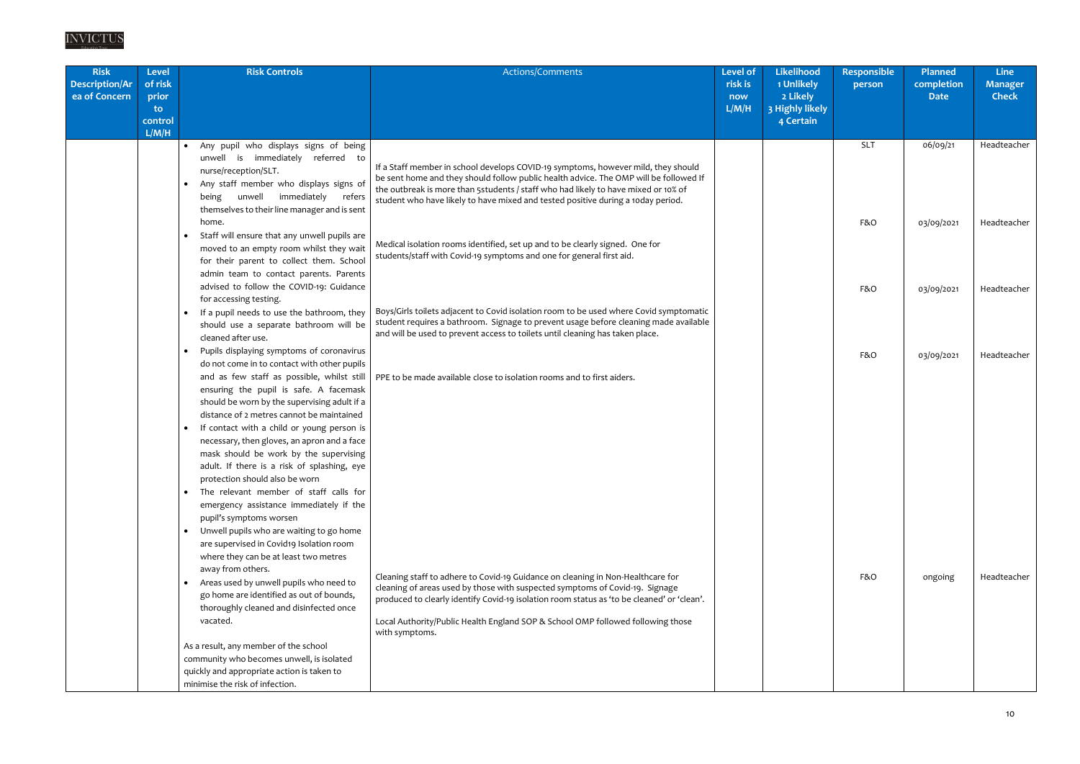| <b>Risk</b><br><b>Description/Ar</b><br>ea of Concern | Level<br>of risk<br>prior<br>to.<br>control | <b>Risk Controls</b>                                                                                                                                                                       | Actions/Comments                                                                                                                                                                                                                                                                                                                                     | <b>Level</b> of<br>risk is<br>now<br>L/M/H | <b>Likelihood</b><br>1 Unlikely<br>2 Likely<br>3 Highly likely<br>4 Certain | <b>Responsible</b><br>person | <b>Planned</b><br>completion<br><b>Date</b> | Line<br><b>Manager</b><br><b>Check</b> |
|-------------------------------------------------------|---------------------------------------------|--------------------------------------------------------------------------------------------------------------------------------------------------------------------------------------------|------------------------------------------------------------------------------------------------------------------------------------------------------------------------------------------------------------------------------------------------------------------------------------------------------------------------------------------------------|--------------------------------------------|-----------------------------------------------------------------------------|------------------------------|---------------------------------------------|----------------------------------------|
|                                                       | L/M/H                                       | Any pupil who displays signs of being<br>$\bullet$                                                                                                                                         |                                                                                                                                                                                                                                                                                                                                                      |                                            |                                                                             | <b>SLT</b>                   | 06/09/21                                    | Headteacher                            |
|                                                       |                                             | unwell is immediately referred to<br>nurse/reception/SLT.<br>Any staff member who displays signs of<br>unwell immediately<br>refers<br>being                                               | If a Staff member in school develops COVID-19 symptoms, however mild, they should<br>be sent home and they should follow public health advice. The OMP will be followed If<br>the outbreak is more than 5students / staff who had likely to have mixed or 10% of<br>student who have likely to have mixed and tested positive during a 10day period. |                                            |                                                                             |                              |                                             |                                        |
|                                                       |                                             | themselves to their line manager and is sent<br>home.                                                                                                                                      |                                                                                                                                                                                                                                                                                                                                                      |                                            |                                                                             | F&O                          | 03/09/2021                                  | Headteacher                            |
|                                                       |                                             | Staff will ensure that any unwell pupils are<br>$\bullet$<br>moved to an empty room whilst they wait<br>for their parent to collect them. School<br>admin team to contact parents. Parents | Medical isolation rooms identified, set up and to be clearly signed. One for<br>students/staff with Covid-19 symptoms and one for general first aid.                                                                                                                                                                                                 |                                            |                                                                             |                              |                                             |                                        |
|                                                       |                                             | advised to follow the COVID-19: Guidance<br>for accessing testing.                                                                                                                         |                                                                                                                                                                                                                                                                                                                                                      |                                            |                                                                             | F&O                          | 03/09/2021                                  | Headteacher                            |
|                                                       |                                             | If a pupil needs to use the bathroom, they<br>$\bullet$<br>should use a separate bathroom will be<br>cleaned after use.                                                                    | Boys/Girls toilets adjacent to Covid isolation room to be used where Covid symptomatic<br>student requires a bathroom. Signage to prevent usage before cleaning made available<br>and will be used to prevent access to toilets until cleaning has taken place.                                                                                      |                                            |                                                                             |                              |                                             |                                        |
|                                                       |                                             | Pupils displaying symptoms of coronavirus<br>do not come in to contact with other pupils<br>and as few staff as possible, whilst still<br>ensuring the pupil is safe. A facemask           | PPE to be made available close to isolation rooms and to first aiders.                                                                                                                                                                                                                                                                               |                                            |                                                                             | F&O                          | 03/09/2021                                  | Headteacher                            |
|                                                       |                                             | should be worn by the supervising adult if a<br>distance of 2 metres cannot be maintained                                                                                                  |                                                                                                                                                                                                                                                                                                                                                      |                                            |                                                                             |                              |                                             |                                        |
|                                                       |                                             | If contact with a child or young person is<br>necessary, then gloves, an apron and a face<br>mask should be work by the supervising                                                        |                                                                                                                                                                                                                                                                                                                                                      |                                            |                                                                             |                              |                                             |                                        |
|                                                       |                                             | adult. If there is a risk of splashing, eye<br>protection should also be worn                                                                                                              |                                                                                                                                                                                                                                                                                                                                                      |                                            |                                                                             |                              |                                             |                                        |
|                                                       |                                             | • The relevant member of staff calls for<br>emergency assistance immediately if the<br>pupil's symptoms worsen                                                                             |                                                                                                                                                                                                                                                                                                                                                      |                                            |                                                                             |                              |                                             |                                        |
|                                                       |                                             | Unwell pupils who are waiting to go home<br>$\bullet$<br>are supervised in Covid19 Isolation room<br>where they can be at least two metres<br>away from others.                            |                                                                                                                                                                                                                                                                                                                                                      |                                            |                                                                             |                              |                                             |                                        |
|                                                       |                                             | • Areas used by unwell pupils who need to<br>go home are identified as out of bounds,<br>thoroughly cleaned and disinfected once                                                           | Cleaning staff to adhere to Covid-19 Guidance on cleaning in Non-Healthcare for<br>cleaning of areas used by those with suspected symptoms of Covid-19. Signage<br>produced to clearly identify Covid-19 isolation room status as 'to be cleaned' or 'clean'.                                                                                        |                                            |                                                                             | F&O                          | ongoing                                     | Headteacher                            |
|                                                       |                                             | vacated.                                                                                                                                                                                   | Local Authority/Public Health England SOP & School OMP followed following those<br>with symptoms.                                                                                                                                                                                                                                                    |                                            |                                                                             |                              |                                             |                                        |
|                                                       |                                             | As a result, any member of the school                                                                                                                                                      |                                                                                                                                                                                                                                                                                                                                                      |                                            |                                                                             |                              |                                             |                                        |
|                                                       |                                             | community who becomes unwell, is isolated                                                                                                                                                  |                                                                                                                                                                                                                                                                                                                                                      |                                            |                                                                             |                              |                                             |                                        |
|                                                       |                                             | quickly and appropriate action is taken to<br>minimise the risk of infection.                                                                                                              |                                                                                                                                                                                                                                                                                                                                                      |                                            |                                                                             |                              |                                             |                                        |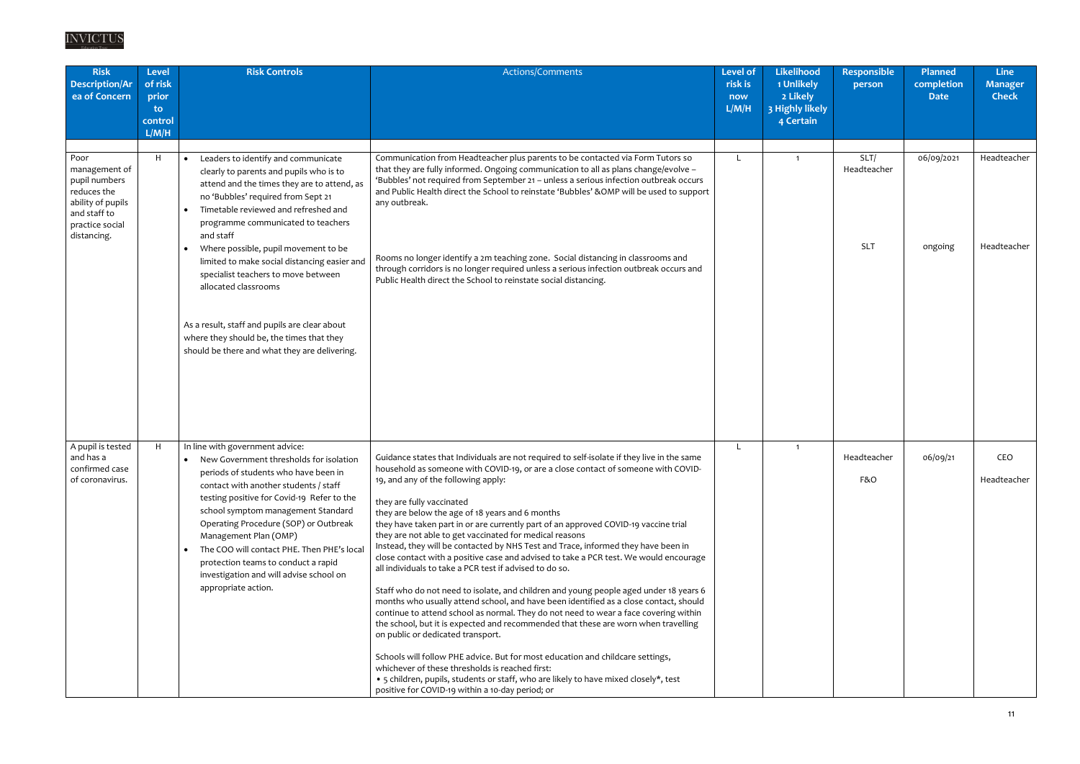| <b>Risk</b><br><b>Description/Ar</b><br>ea of Concern                                                                        | <b>Level</b><br>of risk<br>prior<br>to.<br>control<br>L/M/H | <b>Risk Controls</b>                                                                                                                                                                                                                                                                                                                                                                                                                                                       | Actions/Comments                                                                                                                                                                                                                                                                                                                                                                                                                                                                                                                                                                                                                                                                                                                                                                                                                                                                                                                                                                                                                                                                                                                                                                                                                                                                                                                                                                        | <b>Level of</b><br>risk is<br>now<br>L/M/H | <b>Likelihood</b><br>1 Unlikely<br>2 Likely<br>3 Highly likely<br>4 Certain | <b>Responsible</b><br>person      | <b>Planned</b><br>completion<br><b>Date</b> | <b>Line</b><br><b>Manager</b><br><b>Check</b> |
|------------------------------------------------------------------------------------------------------------------------------|-------------------------------------------------------------|----------------------------------------------------------------------------------------------------------------------------------------------------------------------------------------------------------------------------------------------------------------------------------------------------------------------------------------------------------------------------------------------------------------------------------------------------------------------------|-----------------------------------------------------------------------------------------------------------------------------------------------------------------------------------------------------------------------------------------------------------------------------------------------------------------------------------------------------------------------------------------------------------------------------------------------------------------------------------------------------------------------------------------------------------------------------------------------------------------------------------------------------------------------------------------------------------------------------------------------------------------------------------------------------------------------------------------------------------------------------------------------------------------------------------------------------------------------------------------------------------------------------------------------------------------------------------------------------------------------------------------------------------------------------------------------------------------------------------------------------------------------------------------------------------------------------------------------------------------------------------------|--------------------------------------------|-----------------------------------------------------------------------------|-----------------------------------|---------------------------------------------|-----------------------------------------------|
| Poor<br>management of<br>pupil numbers<br>reduces the<br>ability of pupils<br>and staff to<br>practice social<br>distancing. | H                                                           | Leaders to identify and communicate<br>clearly to parents and pupils who is to<br>attend and the times they are to attend, as<br>no 'Bubbles' required from Sept 21<br>Timetable reviewed and refreshed and<br>programme communicated to teachers<br>and staff<br>Where possible, pupil movement to be<br>limited to make social distancing easier and<br>specialist teachers to move between<br>allocated classrooms                                                      | Communication from Headteacher plus parents to be contacted via Form Tutors so<br>that they are fully informed. Ongoing communication to all as plans change/evolve -<br>'Bubbles' not required from September 21 - unless a serious infection outbreak occurs<br>and Public Health direct the School to reinstate 'Bubbles' &OMP will be used to support<br>any outbreak.<br>Rooms no longer identify a 2m teaching zone. Social distancing in classrooms and<br>through corridors is no longer required unless a serious infection outbreak occurs and<br>Public Health direct the School to reinstate social distancing.                                                                                                                                                                                                                                                                                                                                                                                                                                                                                                                                                                                                                                                                                                                                                             |                                            |                                                                             | SLT/<br>Headteacher<br><b>SLT</b> | 06/09/2021<br>ongoing                       | Headteacher<br>Headteacher                    |
|                                                                                                                              |                                                             | As a result, staff and pupils are clear about<br>where they should be, the times that they<br>should be there and what they are delivering.                                                                                                                                                                                                                                                                                                                                |                                                                                                                                                                                                                                                                                                                                                                                                                                                                                                                                                                                                                                                                                                                                                                                                                                                                                                                                                                                                                                                                                                                                                                                                                                                                                                                                                                                         |                                            |                                                                             |                                   |                                             |                                               |
| A pupil is tested<br>and has a<br>confirmed case<br>of coronavirus.                                                          | H                                                           | In line with government advice:<br>• New Government thresholds for isolation<br>periods of students who have been in<br>contact with another students / staff<br>testing positive for Covid-19 Refer to the<br>school symptom management Standard<br>Operating Procedure (SOP) or Outbreak<br>Management Plan (OMP)<br>The COO will contact PHE. Then PHE's local<br>protection teams to conduct a rapid<br>investigation and will advise school on<br>appropriate action. | Guidance states that Individuals are not required to self-isolate if they live in the same<br>household as someone with COVID-19, or are a close contact of someone with COVID-<br>19, and any of the following apply:<br>they are fully vaccinated<br>they are below the age of 18 years and 6 months<br>they have taken part in or are currently part of an approved COVID-19 vaccine trial<br>they are not able to get vaccinated for medical reasons<br>Instead, they will be contacted by NHS Test and Trace, informed they have been in<br>close contact with a positive case and advised to take a PCR test. We would encourage<br>all individuals to take a PCR test if advised to do so.<br>Staff who do not need to isolate, and children and young people aged under 18 years 6<br>months who usually attend school, and have been identified as a close contact, should<br>continue to attend school as normal. They do not need to wear a face covering within<br>the school, but it is expected and recommended that these are worn when travelling<br>on public or dedicated transport.<br>Schools will follow PHE advice. But for most education and childcare settings,<br>whichever of these thresholds is reached first:<br>• 5 children, pupils, students or staff, who are likely to have mixed closely*, test<br>positive for COVID-19 within a 10-day period; or |                                            | $\mathbf{1}$                                                                | Headteacher<br>F&O                | 06/09/21                                    | CEO<br>Headteacher                            |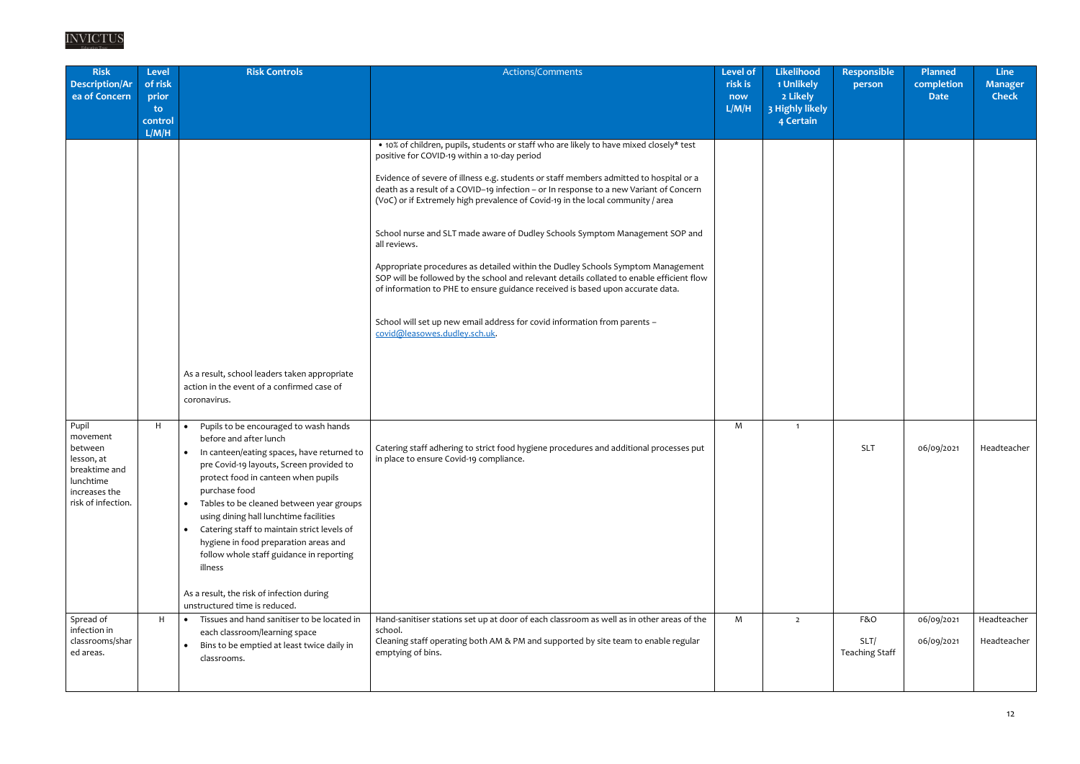| <b>Risk</b><br>Description/Ar<br>ea of Concern                                                                  | <b>Level</b><br>of risk<br>prior<br>to.<br>control<br>L/M/H | <b>Risk Controls</b>                                                                                                                                                                                                                                                                                                                                                                                                                                                                                                                                                        | Actions/Comments                                                                                                                                                                                                                                                                                                                                                                                                                                                                                                                                                                                                                                                                                                                                                                                                                                                                               | <b>Level of</b><br>risk is<br>now<br>L/M/H | <b>Likelihood</b><br>1 Unlikely<br>2 Likely<br>3 Highly likely<br>4 Certain | <b>Responsible</b><br>person         | Planned<br>completion<br><b>Date</b> | <b>Line</b><br><b>Manager</b><br><b>Check</b> |
|-----------------------------------------------------------------------------------------------------------------|-------------------------------------------------------------|-----------------------------------------------------------------------------------------------------------------------------------------------------------------------------------------------------------------------------------------------------------------------------------------------------------------------------------------------------------------------------------------------------------------------------------------------------------------------------------------------------------------------------------------------------------------------------|------------------------------------------------------------------------------------------------------------------------------------------------------------------------------------------------------------------------------------------------------------------------------------------------------------------------------------------------------------------------------------------------------------------------------------------------------------------------------------------------------------------------------------------------------------------------------------------------------------------------------------------------------------------------------------------------------------------------------------------------------------------------------------------------------------------------------------------------------------------------------------------------|--------------------------------------------|-----------------------------------------------------------------------------|--------------------------------------|--------------------------------------|-----------------------------------------------|
|                                                                                                                 |                                                             | As a result, school leaders taken appropriate<br>action in the event of a confirmed case of<br>coronavirus.                                                                                                                                                                                                                                                                                                                                                                                                                                                                 | • 10% of children, pupils, students or staff who are likely to have mixed closely* test<br>positive for COVID-19 within a 10-day period<br>Evidence of severe of illness e.g. students or staff members admitted to hospital or a<br>death as a result of a COVID-19 infection - or In response to a new Variant of Concern<br>(VoC) or if Extremely high prevalence of Covid-19 in the local community / area<br>School nurse and SLT made aware of Dudley Schools Symptom Management SOP and<br>all reviews.<br>Appropriate procedures as detailed within the Dudley Schools Symptom Management<br>SOP will be followed by the school and relevant details collated to enable efficient flow<br>of information to PHE to ensure guidance received is based upon accurate data.<br>School will set up new email address for covid information from parents -<br>covid@leasowes.dudley.sch.uk. |                                            |                                                                             |                                      |                                      |                                               |
| Pupil<br>movement<br>between<br>lesson, at<br>breaktime and<br>lunchtime<br>increases the<br>risk of infection. | H                                                           | Pupils to be encouraged to wash hands<br>$\bullet$<br>before and after lunch<br>In canteen/eating spaces, have returned to<br>pre Covid-19 layouts, Screen provided to<br>protect food in canteen when pupils<br>purchase food<br>Tables to be cleaned between year groups<br>$\bullet$<br>using dining hall lunchtime facilities<br>Catering staff to maintain strict levels of<br>$\bullet$<br>hygiene in food preparation areas and<br>follow whole staff guidance in reporting<br>illness<br>As a result, the risk of infection during<br>unstructured time is reduced. | Catering staff adhering to strict food hygiene procedures and additional processes put<br>in place to ensure Covid-19 compliance.                                                                                                                                                                                                                                                                                                                                                                                                                                                                                                                                                                                                                                                                                                                                                              | M                                          | $\overline{1}$                                                              | <b>SLT</b>                           | 06/09/2021                           | Headteacher                                   |
| Spread of<br>infection in<br>classrooms/shar<br>ed areas.                                                       | H                                                           | Tissues and hand sanitiser to be located in<br>$\bullet$<br>each classroom/learning space<br>Bins to be emptied at least twice daily in<br>$\bullet$<br>classrooms.                                                                                                                                                                                                                                                                                                                                                                                                         | Hand-sanitiser stations set up at door of each classroom as well as in other areas of the<br>school.<br>Cleaning staff operating both AM & PM and supported by site team to enable regular<br>emptying of bins.                                                                                                                                                                                                                                                                                                                                                                                                                                                                                                                                                                                                                                                                                | M                                          | $\overline{2}$                                                              | F&O<br>SLT/<br><b>Teaching Staff</b> | 06/09/2021<br>06/09/2021             | Headteacher<br>Headteacher                    |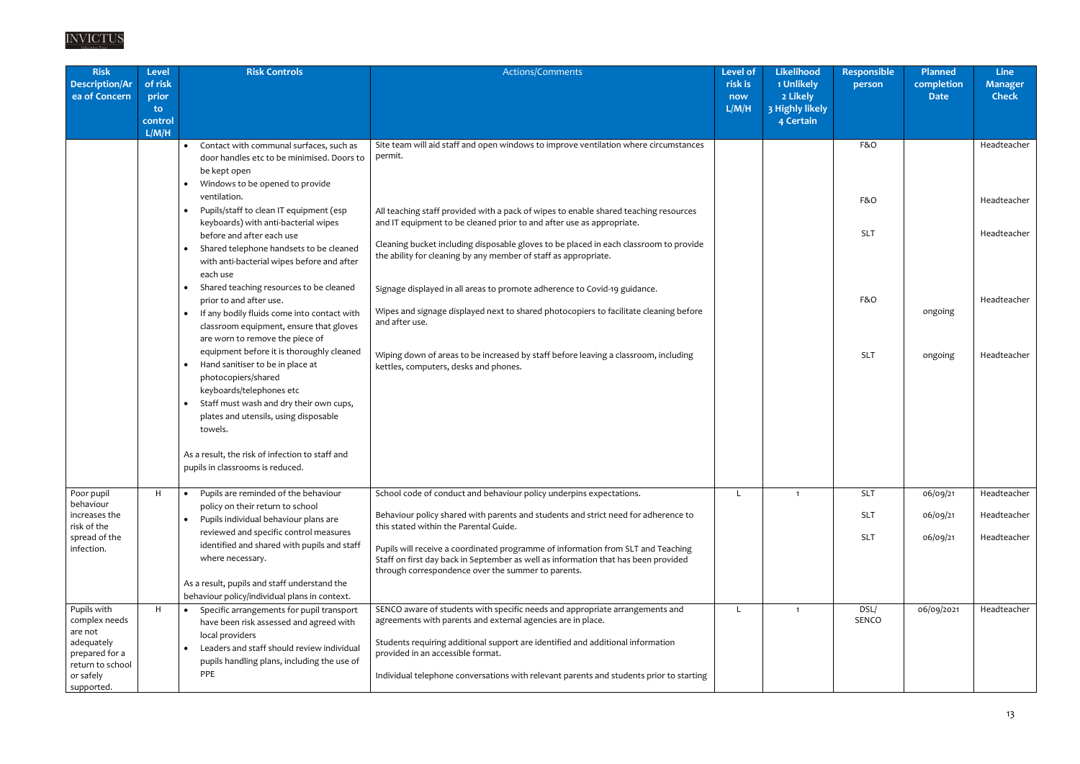# $\frac{INVICTUS}{\text{\tiny Education Trust}}$

| <b>Risk</b><br><b>Description/Ar</b><br>ea of Concern                                                                  | <b>Level</b><br>of risk<br>prior | <b>Risk Controls</b>                                                                                                                                                                                                                                      | Actions/Comments                                                                                                                                                                                                                                                                                                                                               | <b>Level of</b><br>risk is<br>now | Likelihood<br>1 Unlikely<br>2 Likely | <b>Responsible</b><br>person | <b>Planned</b><br>completion<br><b>Date</b> | <b>Line</b><br><b>Manager</b><br><b>Check</b> |
|------------------------------------------------------------------------------------------------------------------------|----------------------------------|-----------------------------------------------------------------------------------------------------------------------------------------------------------------------------------------------------------------------------------------------------------|----------------------------------------------------------------------------------------------------------------------------------------------------------------------------------------------------------------------------------------------------------------------------------------------------------------------------------------------------------------|-----------------------------------|--------------------------------------|------------------------------|---------------------------------------------|-----------------------------------------------|
|                                                                                                                        | to.<br>control<br>L/M/H          |                                                                                                                                                                                                                                                           |                                                                                                                                                                                                                                                                                                                                                                | L/M/H                             | 3 Highly likely<br>4 Certain         |                              |                                             |                                               |
|                                                                                                                        |                                  | Contact with communal surfaces, such as<br>door handles etc to be minimised. Doors to<br>be kept open<br>Windows to be opened to provide                                                                                                                  | Site team will aid staff and open windows to improve ventilation where circumstances<br>permit.                                                                                                                                                                                                                                                                |                                   |                                      | F&O                          |                                             | Headteacher                                   |
|                                                                                                                        |                                  | ventilation.<br>Pupils/staff to clean IT equipment (esp<br>keyboards) with anti-bacterial wipes                                                                                                                                                           | All teaching staff provided with a pack of wipes to enable shared teaching resources<br>and IT equipment to be cleaned prior to and after use as appropriate.                                                                                                                                                                                                  |                                   |                                      | F&O                          |                                             | Headteacher                                   |
|                                                                                                                        |                                  | before and after each use<br>Shared telephone handsets to be cleaned<br>with anti-bacterial wipes before and after<br>each use                                                                                                                            | Cleaning bucket including disposable gloves to be placed in each classroom to provide<br>the ability for cleaning by any member of staff as appropriate.                                                                                                                                                                                                       |                                   |                                      | <b>SLT</b>                   |                                             | Headteacher                                   |
|                                                                                                                        |                                  | Shared teaching resources to be cleaned<br>prior to and after use.<br>If any bodily fluids come into contact with<br>classroom equipment, ensure that gloves<br>are worn to remove the piece of                                                           | Signage displayed in all areas to promote adherence to Covid-19 guidance.<br>Wipes and signage displayed next to shared photocopiers to facilitate cleaning before<br>and after use.                                                                                                                                                                           |                                   |                                      | F&O                          | ongoing                                     | Headteacher                                   |
|                                                                                                                        |                                  | equipment before it is thoroughly cleaned<br>Hand sanitiser to be in place at<br>$\bullet$<br>photocopiers/shared<br>keyboards/telephones etc<br>Staff must wash and dry their own cups,<br>$\bullet$<br>plates and utensils, using disposable<br>towels. | Wiping down of areas to be increased by staff before leaving a classroom, including<br>kettles, computers, desks and phones.                                                                                                                                                                                                                                   |                                   |                                      | <b>SLT</b>                   | ongoing                                     | Headteacher                                   |
|                                                                                                                        |                                  | As a result, the risk of infection to staff and<br>pupils in classrooms is reduced.                                                                                                                                                                       |                                                                                                                                                                                                                                                                                                                                                                |                                   |                                      |                              |                                             |                                               |
| Poor pupil                                                                                                             | H                                | Pupils are reminded of the behaviour<br>$\bullet$                                                                                                                                                                                                         | School code of conduct and behaviour policy underpins expectations.                                                                                                                                                                                                                                                                                            |                                   | $\overline{\mathbf{1}}$              | <b>SLT</b>                   | 06/09/21                                    | Headteacher                                   |
| behaviour<br>increases the<br>risk of the                                                                              |                                  | policy on their return to school<br>Pupils individual behaviour plans are                                                                                                                                                                                 | Behaviour policy shared with parents and students and strict need for adherence to<br>this stated within the Parental Guide.                                                                                                                                                                                                                                   |                                   |                                      | <b>SLT</b>                   | 06/09/21                                    | Headteacher                                   |
| spread of the<br>infection.                                                                                            |                                  | reviewed and specific control measures<br>identified and shared with pupils and staff<br>where necessary.                                                                                                                                                 | Pupils will receive a coordinated programme of information from SLT and Teaching<br>Staff on first day back in September as well as information that has been provided<br>through correspondence over the summer to parents.                                                                                                                                   |                                   |                                      | <b>SLT</b>                   | 06/09/21                                    | Headteacher                                   |
|                                                                                                                        |                                  | As a result, pupils and staff understand the<br>behaviour policy/individual plans in context.                                                                                                                                                             |                                                                                                                                                                                                                                                                                                                                                                |                                   |                                      |                              |                                             |                                               |
| Pupils with<br>complex needs<br>are not<br>adequately<br>prepared for a<br>return to school<br>or safely<br>supported. | H                                | Specific arrangements for pupil transport<br>have been risk assessed and agreed with<br>local providers<br>Leaders and staff should review individual<br>pupils handling plans, including the use of<br>PPE                                               | SENCO aware of students with specific needs and appropriate arrangements and<br>agreements with parents and external agencies are in place.<br>Students requiring additional support are identified and additional information<br>provided in an accessible format.<br>Individual telephone conversations with relevant parents and students prior to starting |                                   | $\overline{1}$                       | DSL/<br>SENCO                | 06/09/2021                                  | Headteacher                                   |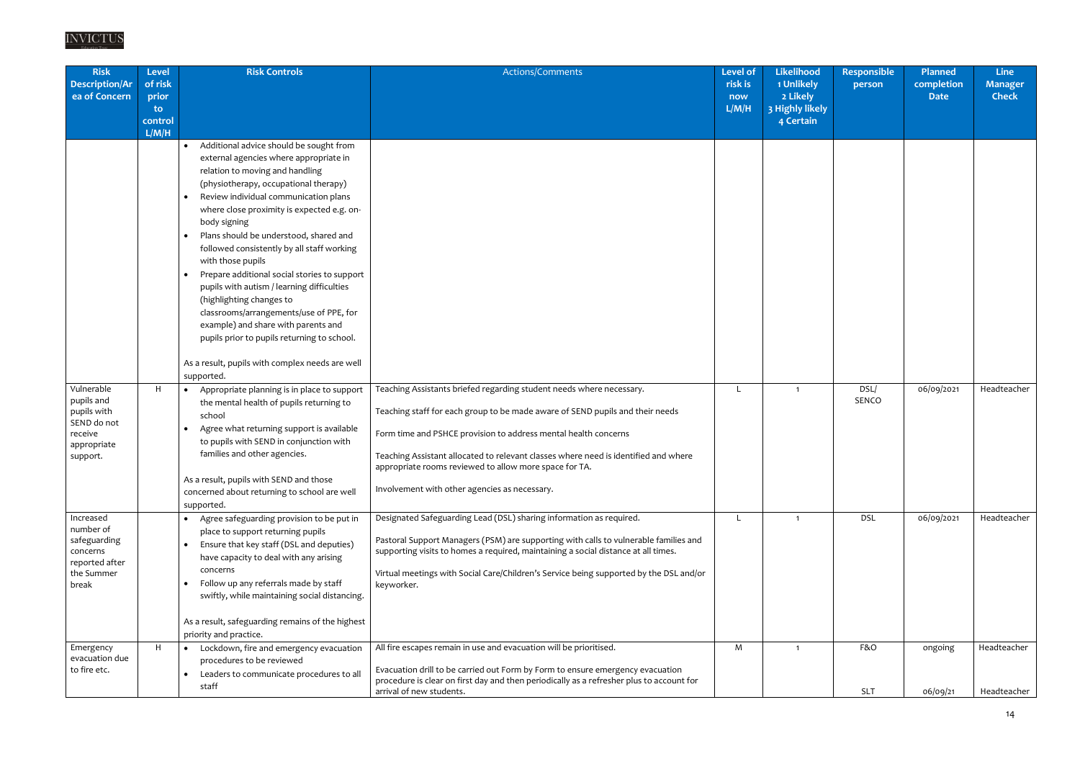| <b>Risk</b><br><b>Description/Ar</b><br>ea of Concern                                        | Level<br>of risk<br>prior<br>$\mathbf{to}$ | <b>Risk Controls</b>                                                                                                                                                                                                                                                                                                                                                                                                                                                                                                                                                                                                                                      | Actions/Comments                                                                                                                                                                                                                                                                                                                                                                                                           | <b>Level of</b><br>risk is<br>now<br>L/M/H | Likelihood<br>1 Unlikely<br>2 Likely<br>3 Highly likely | <b>Responsible</b><br>person | Planned<br>completion<br><b>Date</b> | <b>Line</b><br><b>Manager</b><br><b>Check</b> |
|----------------------------------------------------------------------------------------------|--------------------------------------------|-----------------------------------------------------------------------------------------------------------------------------------------------------------------------------------------------------------------------------------------------------------------------------------------------------------------------------------------------------------------------------------------------------------------------------------------------------------------------------------------------------------------------------------------------------------------------------------------------------------------------------------------------------------|----------------------------------------------------------------------------------------------------------------------------------------------------------------------------------------------------------------------------------------------------------------------------------------------------------------------------------------------------------------------------------------------------------------------------|--------------------------------------------|---------------------------------------------------------|------------------------------|--------------------------------------|-----------------------------------------------|
|                                                                                              | control<br>L/M/H                           |                                                                                                                                                                                                                                                                                                                                                                                                                                                                                                                                                                                                                                                           |                                                                                                                                                                                                                                                                                                                                                                                                                            |                                            | 4 Certain                                               |                              |                                      |                                               |
|                                                                                              |                                            | Additional advice should be sought from<br>$\bullet$<br>external agencies where appropriate in<br>relation to moving and handling<br>(physiotherapy, occupational therapy)<br>Review individual communication plans<br>where close proximity is expected e.g. on-<br>body signing<br>Plans should be understood, shared and<br>followed consistently by all staff working<br>with those pupils<br>Prepare additional social stories to support<br>pupils with autism / learning difficulties<br>(highlighting changes to<br>classrooms/arrangements/use of PPE, for<br>example) and share with parents and<br>pupils prior to pupils returning to school. |                                                                                                                                                                                                                                                                                                                                                                                                                            |                                            |                                                         |                              |                                      |                                               |
|                                                                                              |                                            | As a result, pupils with complex needs are well<br>supported.                                                                                                                                                                                                                                                                                                                                                                                                                                                                                                                                                                                             |                                                                                                                                                                                                                                                                                                                                                                                                                            |                                            |                                                         |                              |                                      |                                               |
| Vulnerable<br>pupils and<br>pupils with<br>SEND do not<br>receive<br>appropriate<br>support. | H                                          | Appropriate planning is in place to support<br>$\bullet$<br>the mental health of pupils returning to<br>school<br>Agree what returning support is available<br>to pupils with SEND in conjunction with<br>families and other agencies.<br>As a result, pupils with SEND and those<br>concerned about returning to school are well<br>supported.                                                                                                                                                                                                                                                                                                           | Teaching Assistants briefed regarding student needs where necessary.<br>Teaching staff for each group to be made aware of SEND pupils and their needs<br>Form time and PSHCE provision to address mental health concerns<br>Teaching Assistant allocated to relevant classes where need is identified and where<br>appropriate rooms reviewed to allow more space for TA.<br>Involvement with other agencies as necessary. |                                            | $\overline{1}$                                          | DSL/<br><b>SENCO</b>         | 06/09/2021                           | Headteacher                                   |
| Increased<br>number of<br>safeguarding<br>concerns<br>reported after<br>the Summer<br>break  |                                            | Agree safeguarding provision to be put in<br>place to support returning pupils<br>Ensure that key staff (DSL and deputies)<br>have capacity to deal with any arising<br>concerns<br>Follow up any referrals made by staff<br>swiftly, while maintaining social distancing.<br>As a result, safeguarding remains of the highest<br>priority and practice.                                                                                                                                                                                                                                                                                                  | Designated Safeguarding Lead (DSL) sharing information as required.<br>Pastoral Support Managers (PSM) are supporting with calls to vulnerable families and<br>supporting visits to homes a required, maintaining a social distance at all times.<br>Virtual meetings with Social Care/Children's Service being supported by the DSL and/or<br>keyworker.                                                                  |                                            | $\mathbf{1}$                                            | <b>DSL</b>                   | 06/09/2021                           | Headteacher                                   |
| Emergency<br>evacuation due<br>to fire etc.                                                  | H                                          | Lockdown, fire and emergency evacuation<br>$\bullet$<br>procedures to be reviewed<br>Leaders to communicate procedures to all                                                                                                                                                                                                                                                                                                                                                                                                                                                                                                                             | All fire escapes remain in use and evacuation will be prioritised.<br>Evacuation drill to be carried out Form by Form to ensure emergency evacuation<br>procedure is clear on first day and then periodically as a refresher plus to account for                                                                                                                                                                           | M                                          | $\mathbf{1}$                                            | F&O                          | ongoing                              | Headteacher                                   |
|                                                                                              |                                            | staff                                                                                                                                                                                                                                                                                                                                                                                                                                                                                                                                                                                                                                                     | arrival of new students.                                                                                                                                                                                                                                                                                                                                                                                                   |                                            |                                                         | <b>SLT</b>                   | 06/09/21                             | Headteacher                                   |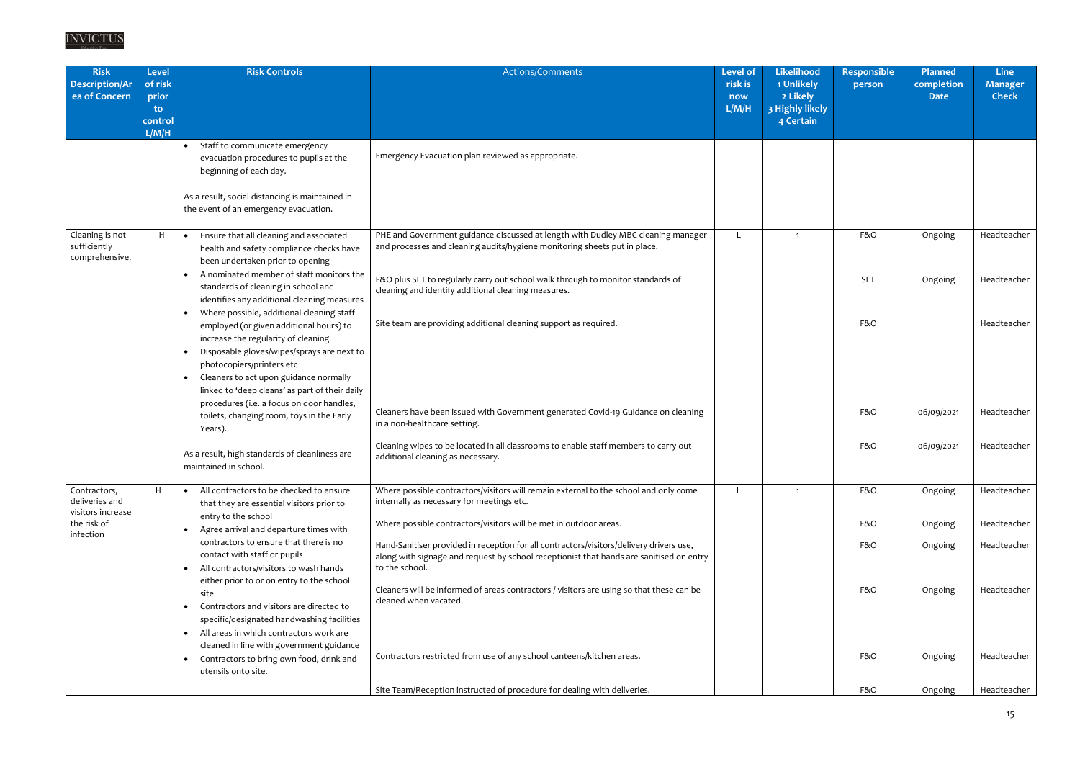| <b>Risk</b><br><b>Description/Ar</b><br>ea of Concern | <b>Level</b><br>of risk<br>prior<br>to.<br>control<br>L/M/H | <b>Risk Controls</b>                                                                                                                                                                                                                                                                                                                                                                                      | Actions/Comments                                                                                                                                                                                                                                                                                        | <b>Level of</b><br>risk is<br>now<br>L/M/H | <b>Likelihood</b><br>1 Unlikely<br>2 Likely<br>3 Highly likely<br>4 Certain | <b>Responsible</b><br>person | <b>Planned</b><br>completion<br><b>Date</b> | <b>Line</b><br><b>Manager</b><br><b>Check</b> |
|-------------------------------------------------------|-------------------------------------------------------------|-----------------------------------------------------------------------------------------------------------------------------------------------------------------------------------------------------------------------------------------------------------------------------------------------------------------------------------------------------------------------------------------------------------|---------------------------------------------------------------------------------------------------------------------------------------------------------------------------------------------------------------------------------------------------------------------------------------------------------|--------------------------------------------|-----------------------------------------------------------------------------|------------------------------|---------------------------------------------|-----------------------------------------------|
|                                                       |                                                             | Staff to communicate emergency<br>$\bullet$<br>evacuation procedures to pupils at the<br>beginning of each day.<br>As a result, social distancing is maintained in<br>the event of an emergency evacuation.                                                                                                                                                                                               | Emergency Evacuation plan reviewed as appropriate.                                                                                                                                                                                                                                                      |                                            |                                                                             |                              |                                             |                                               |
| Cleaning is not<br>sufficiently<br>comprehensive.     | H                                                           | Ensure that all cleaning and associated<br>health and safety compliance checks have<br>been undertaken prior to opening<br>A nominated member of staff monitors the<br>standards of cleaning in school and<br>identifies any additional cleaning measures                                                                                                                                                 | PHE and Government guidance discussed at length with Dudley MBC cleaning manager<br>and processes and cleaning audits/hygiene monitoring sheets put in place.<br>F&O plus SLT to regularly carry out school walk through to monitor standards of<br>cleaning and identify additional cleaning measures. | L                                          | $\overline{\mathbf{1}}$                                                     | F&O<br><b>SLT</b>            | Ongoing<br>Ongoing                          | Headteacher<br>Headteacher                    |
|                                                       |                                                             | Where possible, additional cleaning staff<br>$\bullet$<br>employed (or given additional hours) to<br>increase the regularity of cleaning<br>Disposable gloves/wipes/sprays are next to<br>photocopiers/printers etc<br>Cleaners to act upon guidance normally<br>linked to 'deep cleans' as part of their daily<br>procedures (i.e. a focus on door handles,<br>toilets, changing room, toys in the Early | Site team are providing additional cleaning support as required.<br>Cleaners have been issued with Government generated Covid-19 Guidance on cleaning                                                                                                                                                   |                                            |                                                                             | F&O<br>F&O                   | 06/09/2021                                  | Headteacher<br>Headteacher                    |
|                                                       |                                                             | Years).<br>As a result, high standards of cleanliness are<br>maintained in school.                                                                                                                                                                                                                                                                                                                        | in a non-healthcare setting.<br>Cleaning wipes to be located in all classrooms to enable staff members to carry out<br>additional cleaning as necessary.                                                                                                                                                |                                            |                                                                             | F&O                          | 06/09/2021                                  | Headteacher                                   |
| Contractors,<br>deliveries and<br>visitors increase   | H                                                           | All contractors to be checked to ensure<br>$\bullet$<br>that they are essential visitors prior to<br>entry to the school                                                                                                                                                                                                                                                                                  | Where possible contractors/visitors will remain external to the school and only come<br>internally as necessary for meetings etc.                                                                                                                                                                       | L.                                         | $\overline{1}$                                                              | F&O                          | Ongoing                                     | Headteacher                                   |
| the risk of<br>infection                              |                                                             | Agree arrival and departure times with<br>contractors to ensure that there is no<br>contact with staff or pupils<br>All contractors/visitors to wash hands<br>$\bullet$                                                                                                                                                                                                                                   | Where possible contractors/visitors will be met in outdoor areas.<br>Hand-Sanitiser provided in reception for all contractors/visitors/delivery drivers use,<br>along with signage and request by school receptionist that hands are sanitised on entry<br>to the school.                               |                                            |                                                                             | F&O<br>F&O                   | Ongoing<br>Ongoing                          | Headteacher<br>Headteacher                    |
|                                                       |                                                             | either prior to or on entry to the school<br>site<br>Contractors and visitors are directed to<br>specific/designated handwashing facilities<br>All areas in which contractors work are<br>cleaned in line with government guidance                                                                                                                                                                        | Cleaners will be informed of areas contractors / visitors are using so that these can be<br>cleaned when vacated.                                                                                                                                                                                       |                                            |                                                                             | F&O                          | Ongoing                                     | Headteacher                                   |
|                                                       |                                                             | Contractors to bring own food, drink and<br>utensils onto site.                                                                                                                                                                                                                                                                                                                                           | Contractors restricted from use of any school canteens/kitchen areas.<br>Site Team/Reception instructed of procedure for dealing with deliveries.                                                                                                                                                       |                                            |                                                                             | F&O<br>F&O                   | Ongoing<br>Ongoing                          | Headteacher<br>Headteacher                    |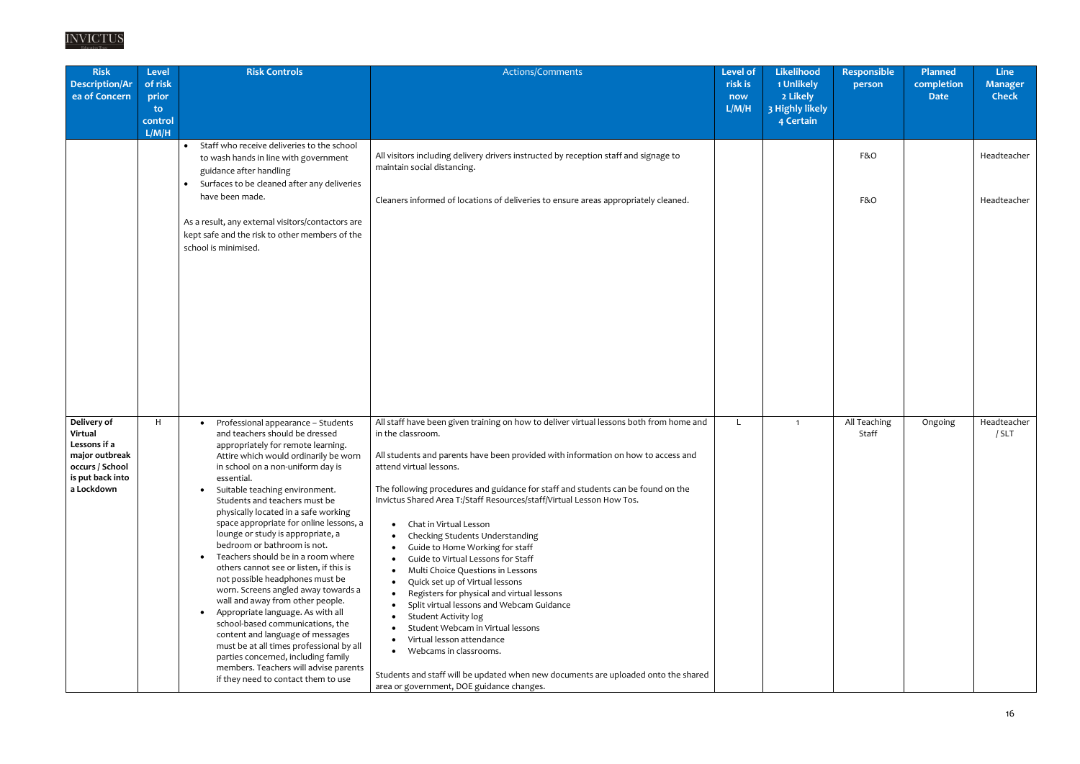| <b>Risk</b><br><b>Description/Ar</b><br>ea of Concern                                                         | <b>Level</b><br>of risk<br>prior<br>to. | <b>Risk Controls</b>                                                                                                                                                                                                                                                                                                                                                                                                                                                                                                                                                                                                                                                                                                                                                                                                                                                                                                                      | Actions/Comments                                                                                                                                                                                                                                                                                                                                                                                                                                                                                                                                                                                                                                                                                                                                                                                                                                                                                                                                                                                                                  | <b>Level of</b><br>risk is<br>now<br>L/M/H | Likelihood<br>1 Unlikely<br>2 Likely<br>3 Highly likely | <b>Responsible</b><br>person | <b>Planned</b><br>completion<br><b>Date</b> | <b>Line</b><br><b>Manager</b><br><b>Check</b> |
|---------------------------------------------------------------------------------------------------------------|-----------------------------------------|-------------------------------------------------------------------------------------------------------------------------------------------------------------------------------------------------------------------------------------------------------------------------------------------------------------------------------------------------------------------------------------------------------------------------------------------------------------------------------------------------------------------------------------------------------------------------------------------------------------------------------------------------------------------------------------------------------------------------------------------------------------------------------------------------------------------------------------------------------------------------------------------------------------------------------------------|-----------------------------------------------------------------------------------------------------------------------------------------------------------------------------------------------------------------------------------------------------------------------------------------------------------------------------------------------------------------------------------------------------------------------------------------------------------------------------------------------------------------------------------------------------------------------------------------------------------------------------------------------------------------------------------------------------------------------------------------------------------------------------------------------------------------------------------------------------------------------------------------------------------------------------------------------------------------------------------------------------------------------------------|--------------------------------------------|---------------------------------------------------------|------------------------------|---------------------------------------------|-----------------------------------------------|
|                                                                                                               | control<br>L/M/H                        |                                                                                                                                                                                                                                                                                                                                                                                                                                                                                                                                                                                                                                                                                                                                                                                                                                                                                                                                           |                                                                                                                                                                                                                                                                                                                                                                                                                                                                                                                                                                                                                                                                                                                                                                                                                                                                                                                                                                                                                                   |                                            | 4 Certain                                               |                              |                                             |                                               |
|                                                                                                               |                                         | Staff who receive deliveries to the school<br>$\bullet$<br>to wash hands in line with government<br>guidance after handling<br>Surfaces to be cleaned after any deliveries<br>$\bullet$<br>have been made.                                                                                                                                                                                                                                                                                                                                                                                                                                                                                                                                                                                                                                                                                                                                | All visitors including delivery drivers instructed by reception staff and signage to<br>maintain social distancing.<br>Cleaners informed of locations of deliveries to ensure areas appropriately cleaned.                                                                                                                                                                                                                                                                                                                                                                                                                                                                                                                                                                                                                                                                                                                                                                                                                        |                                            |                                                         | F&O<br>F&O                   |                                             | Headteacher<br>Headteacher                    |
|                                                                                                               |                                         | As a result, any external visitors/contactors are<br>kept safe and the risk to other members of the<br>school is minimised.                                                                                                                                                                                                                                                                                                                                                                                                                                                                                                                                                                                                                                                                                                                                                                                                               |                                                                                                                                                                                                                                                                                                                                                                                                                                                                                                                                                                                                                                                                                                                                                                                                                                                                                                                                                                                                                                   |                                            |                                                         |                              |                                             |                                               |
| Delivery of<br>Virtual<br>Lessons if a<br>major outbreak<br>occurs / School<br>is put back into<br>a Lockdown | H                                       | Professional appearance - Students<br>and teachers should be dressed<br>appropriately for remote learning.<br>Attire which would ordinarily be worn<br>in school on a non-uniform day is<br>essential.<br>Suitable teaching environment.<br>Students and teachers must be<br>physically located in a safe working<br>space appropriate for online lessons, a<br>lounge or study is appropriate, a<br>bedroom or bathroom is not.<br>Teachers should be in a room where<br>$\bullet$<br>others cannot see or listen, if this is<br>not possible headphones must be<br>worn. Screens angled away towards a<br>wall and away from other people.<br>Appropriate language. As with all<br>$\bullet$<br>school-based communications, the<br>content and language of messages<br>must be at all times professional by all<br>parties concerned, including family<br>members. Teachers will advise parents<br>if they need to contact them to use | All staff have been given training on how to deliver virtual lessons both from home and<br>in the classroom.<br>All students and parents have been provided with information on how to access and<br>attend virtual lessons.<br>The following procedures and guidance for staff and students can be found on the<br>Invictus Shared Area T:/Staff Resources/staff/Virtual Lesson How Tos.<br>Chat in Virtual Lesson<br>$\bullet$<br>Checking Students Understanding<br>Guide to Home Working for staff<br>Guide to Virtual Lessons for Staff<br>Multi Choice Questions in Lessons<br>$\bullet$<br>Quick set up of Virtual lessons<br>$\bullet$<br>Registers for physical and virtual lessons<br>$\bullet$<br>Split virtual lessons and Webcam Guidance<br><b>Student Activity log</b><br>Student Webcam in Virtual lessons<br>Virtual lesson attendance<br>Webcams in classrooms.<br>$\bullet$<br>Students and staff will be updated when new documents are uploaded onto the shared<br>area or government, DOE guidance changes. |                                            | $\overline{1}$                                          | All Teaching<br>Staff        | Ongoing                                     | Headteacher<br>/ SLT                          |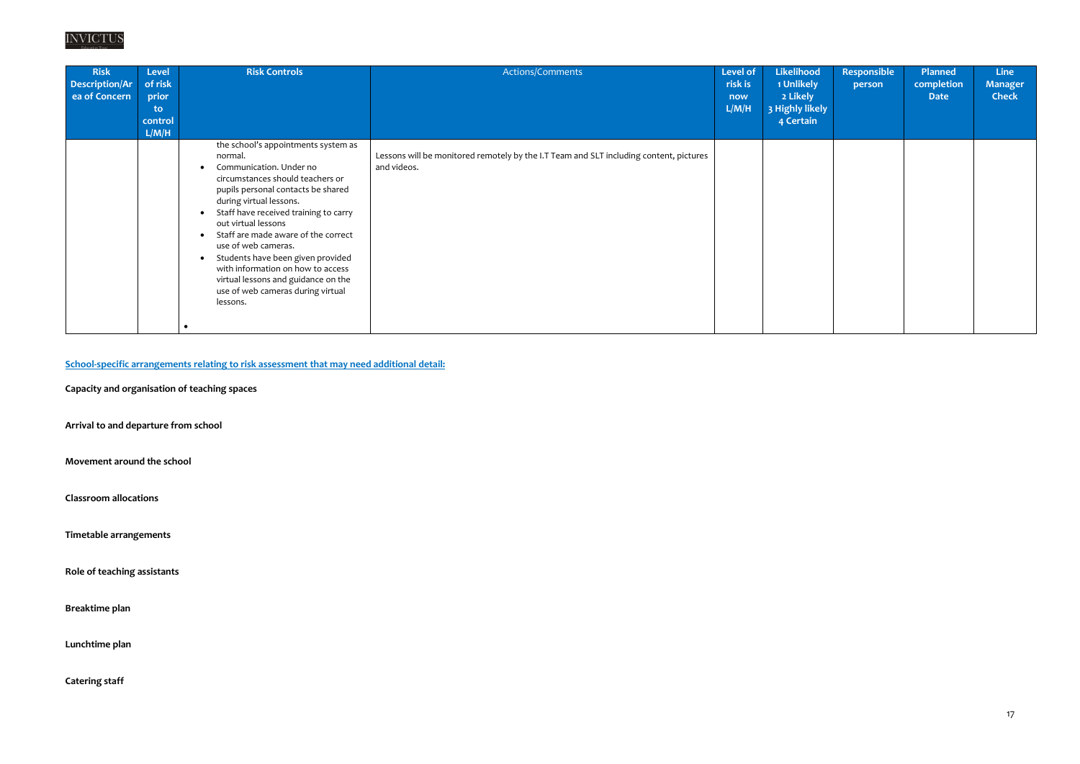

| <b>Risk</b><br>Description/Ar<br>ea of Concern | Level<br>of risk<br>prior<br>to<br>control<br>L/M/H | <b>Risk Controls</b>                                                                                                                                                                                                                                                                                                                                                                                                                                                                                     | Actions/Comments                                                                                      | Level of<br>risk is<br>now<br>L/M/H | Likelihood<br>1 Unlikely<br>2 Likely<br>3 Highly likely<br>4 Certain | <b>Responsible</b><br>person | <b>Planned</b><br>completion<br><b>Date</b> | <b>Line</b><br><b>Manager</b><br><b>Check</b> |
|------------------------------------------------|-----------------------------------------------------|----------------------------------------------------------------------------------------------------------------------------------------------------------------------------------------------------------------------------------------------------------------------------------------------------------------------------------------------------------------------------------------------------------------------------------------------------------------------------------------------------------|-------------------------------------------------------------------------------------------------------|-------------------------------------|----------------------------------------------------------------------|------------------------------|---------------------------------------------|-----------------------------------------------|
|                                                |                                                     | the school's appointments system as<br>normal.<br>Communication. Under no<br>$\bullet$<br>circumstances should teachers or<br>pupils personal contacts be shared<br>during virtual lessons.<br>Staff have received training to carry<br>out virtual lessons<br>Staff are made aware of the correct<br>use of web cameras.<br>Students have been given provided<br>$\bullet$<br>with information on how to access<br>virtual lessons and guidance on the<br>use of web cameras during virtual<br>lessons. | Lessons will be monitored remotely by the I.T Team and SLT including content, pictures<br>and videos. |                                     |                                                                      |                              |                                             |                                               |

**School-specific arrangements relating to risk assessment that may need additional detail:**

**Capacity and organisation of teaching spaces**

**Arrival to and departure from school**

**Movement around the school**

**Classroom allocations**

**Timetable arrangements**

**Role of teaching assistants**

**Breaktime plan**

**Lunchtime plan**

**Catering staff**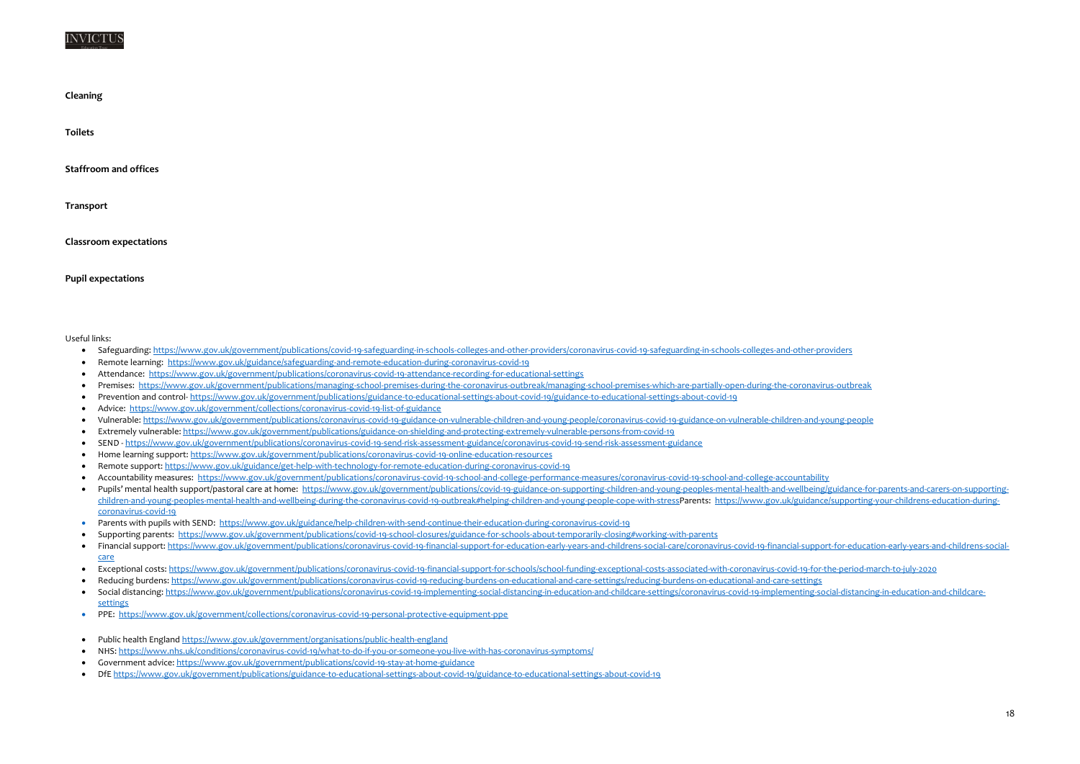#### NVICTU

**Cleaning**

**Toilets**

**Staffroom and offices**

**Transport**

- Safeguarding:<https://www.gov.uk/government/publications/covid-19-safeguarding-in-schools-colleges-and-other-providers/coronavirus-covid-19-safeguarding-in-schools-colleges-and-other-providers>
- Remote learning: <https://www.gov.uk/guidance/safeguarding-and-remote-education-during-coronavirus-covid-19>
- Attendance: <https://www.gov.uk/government/publications/coronavirus-covid-19-attendance-recording-for-educational-settings>
- Premises: <https://www.gov.uk/government/publications/managing-school-premises-during-the-coronavirus-outbreak/managing-school-premises-which-are-partially-open-during-the-coronavirus-outbreak>
- Prevention and control- <https://www.gov.uk/government/publications/guidance-to-educational-settings-about-covid-19/guidance-to-educational-settings-about-covid-19>
- Advice: <https://www.gov.uk/government/collections/coronavirus-covid-19-list-of-guidance>
- Vulnerable:<https://www.gov.uk/government/publications/coronavirus-covid-19-guidance-on-vulnerable-children-and-young-people/coronavirus-covid-19-guidance-on-vulnerable-children-and-young-people>
- Extremely vulnerable:<https://www.gov.uk/government/publications/guidance-on-shielding-and-protecting-extremely-vulnerable-persons-from-covid-19>
- SEND <https://www.gov.uk/government/publications/coronavirus-covid-19-send-risk-assessment-guidance/coronavirus-covid-19-send-risk-assessment-guidance>
- Home learning support:<https://www.gov.uk/government/publications/coronavirus-covid-19-online-education-resources>
- Remote support:<https://www.gov.uk/guidance/get-help-with-technology-for-remote-education-during-coronavirus-covid-19>
- Accountability measures: <https://www.gov.uk/government/publications/coronavirus-covid-19-school-and-college-performance-measures/coronavirus-covid-19-school-and-college-accountability>
- . Pupils' mental health support/pastoral care at home: https://www.gov.uk/government/publications/covid-19-guidance-on-supporting-children-and-young-peoples-mental-health-and-wellbeing/guidance-for-parents-and-carers-on-su [children-and-young-peoples-mental-health-and-wellbeing-during-the-coronavirus-covid-19-outbreak#helping-children-and-young-people-cope-with-stressP](https://www.gov.uk/government/publications/covid-19-guidance-on-supporting-children-and-young-peoples-mental-health-and-wellbeing/guidance-for-parents-and-carers-on-supporting-children-and-young-peoples-mental-health-and-wellbeing-during-the-coronavirus-covid-19-outbreak#helping-children-and-young-people-cope-with-stress)arents: https://www.gov.uk/guidance/supporting-your-childrens-education-dur [coronavirus-covid-19](https://www.gov.uk/guidance/supporting-your-childrens-education-during-coronavirus-covid-19)
- Parents with pupils with SEND: <https://www.gov.uk/guidance/help-children-with-send-continue-their-education-during-coronavirus-covid-19>
- Supporting parents:<https://www.gov.uk/government/publications/covid-19-school-closures/guidance-for-schools-about-temporarily-closing#working-with-parents>
- . Financial support: https://www.gov.uk/government/publications/coronavirus-covid-19-financial-support-for-education-early-vears-and-childrens-social-care/coronavirus-covid-19-financial-support-for-education-early-vears-an [care](https://www.gov.uk/government/publications/coronavirus-covid-19-financial-support-for-education-early-years-and-childrens-social-care/coronavirus-covid-19-financial-support-for-education-early-years-and-childrens-social-care)
- Exceptional costs[: https://www.gov.uk/government/publications/coronavirus-covid-19-financial-support-for-schools/school-funding-exceptional-costs-associated-with-coronavirus-covid-19-for-the-period-march-to-july-2020](https://www.gov.uk/government/publications/coronavirus-covid-19-financial-support-for-schools/school-funding-exceptional-costs-associated-with-coronavirus-covid-19-for-the-period-march-to-july-2020)
- Reducing burdens:<https://www.gov.uk/government/publications/coronavirus-covid-19-reducing-burdens-on-educational-and-care-settings/reducing-burdens-on-educational-and-care-settings>
- Social distancing: https://www.gov.uk/government/publications/coronavirus-covid-19-implementing-social-distancing-in-education-and-childcare-settings/coronavirus-covid-19-implementing-social-distancing-in-education-and-c [settings](https://www.gov.uk/government/publications/coronavirus-covid-19-implementing-social-distancing-in-education-and-childcare-settings/coronavirus-covid-19-implementing-social-distancing-in-education-and-childcare-settings)
- PPE: <https://www.gov.uk/government/collections/coronavirus-covid-19-personal-protective-equipment-ppe>
- Public health England<https://www.gov.uk/government/organisations/public-health-england>
- NHS:<https://www.nhs.uk/conditions/coronavirus-covid-19/what-to-do-if-you-or-someone-you-live-with-has-coronavirus-symptoms/>
- Government advice:<https://www.gov.uk/government/publications/covid-19-stay-at-home-guidance>
- DfE<https://www.gov.uk/government/publications/guidance-to-educational-settings-about-covid-19/guidance-to-educational-settings-about-covid-19>

**Classroom expectations**

**Pupil expectations**

Useful links: